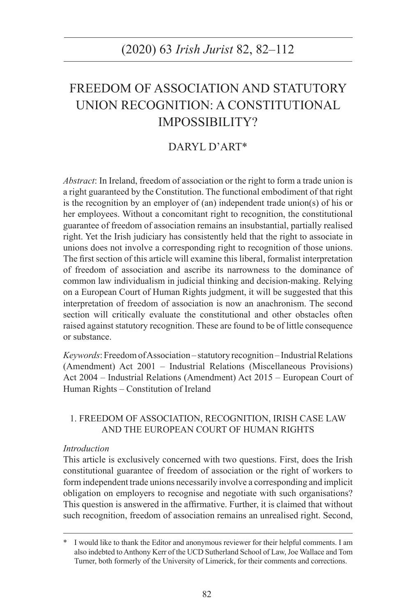# FREEDOM OF ASSOCIATION AND STATUTORY UNION RECOGNITION: A CONSTITUTIONAL IMPOSSIBILITY?

# DARYL D'ART\*

*Abstract*: In Ireland, freedom of association or the right to form a trade union is a right guaranteed by the Constitution. The functional embodiment of that right is the recognition by an employer of (an) independent trade union(s) of his or her employees. Without a concomitant right to recognition, the constitutional guarantee of freedom of association remains an insubstantial, partially realised right. Yet the Irish judiciary has consistently held that the right to associate in unions does not involve a corresponding right to recognition of those unions. The first section of this article will examine this liberal, formalist interpretation of freedom of association and ascribe its narrowness to the dominance of common law individualism in judicial thinking and decision-making. Relying on a European Court of Human Rights judgment, it will be suggested that this interpretation of freedom of association is now an anachronism. The second section will critically evaluate the constitutional and other obstacles often raised against statutory recognition. These are found to be of little consequence or substance.

*Keywords*: Freedom of Association – statutory recognition – Industrial Relations (Amendment) Act 2001 – Industrial Relations (Miscellaneous Provisions) Act 2004 – Industrial Relations (Amendment) Act 2015 – European Court of Human Rights – Constitution of Ireland

# 1. FREEDOM OF ASSOCIATION, RECOGNITION, IRISH CASE LAW AND THE EUROPEAN COURT OF HUMAN RIGHTS

### *Introduction*

This article is exclusively concerned with two questions. First, does the Irish constitutional guarantee of freedom of association or the right of workers to form independent trade unions necessarily involve a corresponding and implicit obligation on employers to recognise and negotiate with such organisations? This question is answered in the affirmative. Further, it is claimed that without such recognition, freedom of association remains an unrealised right. Second,

I would like to thank the Editor and anonymous reviewer for their helpful comments. I am also indebted to Anthony Kerr of the UCD Sutherland School of Law, Joe Wallace and Tom Turner, both formerly of the University of Limerick, for their comments and corrections.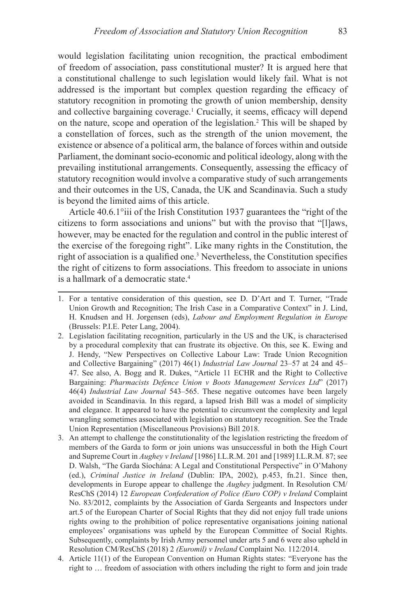would legislation facilitating union recognition, the practical embodiment of freedom of association, pass constitutional muster? It is argued here that a constitutional challenge to such legislation would likely fail. What is not addressed is the important but complex question regarding the efficacy of statutory recognition in promoting the growth of union membership, density and collective bargaining coverage.<sup>1</sup> Crucially, it seems, efficacy will depend on the nature, scope and operation of the legislation.2 This will be shaped by a constellation of forces, such as the strength of the union movement, the existence or absence of a political arm, the balance of forces within and outside Parliament, the dominant socio-economic and political ideology, along with the prevailing institutional arrangements. Consequently, assessing the efficacy of statutory recognition would involve a comparative study of such arrangements and their outcomes in the US, Canada, the UK and Scandinavia. Such a study is beyond the limited aims of this article.

Article 40.6.1°iii of the Irish Constitution 1937 guarantees the "right of the citizens to form associations and unions" but with the proviso that "[l]aws, however, may be enacted for the regulation and control in the public interest of the exercise of the foregoing right". Like many rights in the Constitution, the right of association is a qualified one.<sup>3</sup> Nevertheless, the Constitution specifies the right of citizens to form associations. This freedom to associate in unions is a hallmark of a democratic state. $4$ 

<sup>1.</sup> For a tentative consideration of this question, see D. D'Art and T. Turner, "Trade Union Growth and Recognition; The Irish Case in a Comparative Context" in J. Lind, H. Knudsen and H. Jorgensen (eds), *Labour and Employment Regulation in Europe* (Brussels: P.I.E. Peter Lang, 2004).

<sup>2.</sup> Legislation facilitating recognition, particularly in the US and the UK, is characterised by a procedural complexity that can frustrate its objective. On this, see K. Ewing and J. Hendy, "New Perspectives on Collective Labour Law: Trade Union Recognition and Collective Bargaining" (2017) 46(1) *Industrial Law Journal* 23–57 at 24 and 45– 47. See also, A. Bogg and R. Dukes, "Article 11 ECHR and the Right to Collective Bargaining: *Pharmacists Defence Union v Boots Management Services Ltd*" (2017) 46(4) *Industrial Law Journal* 543–565. These negative outcomes have been largely avoided in Scandinavia. In this regard, a lapsed Irish Bill was a model of simplicity and elegance. It appeared to have the potential to circumvent the complexity and legal wrangling sometimes associated with legislation on statutory recognition. See the Trade Union Representation (Miscellaneous Provisions) Bill 2018.

<sup>3.</sup> An attempt to challenge the constitutionality of the legislation restricting the freedom of members of the Garda to form or join unions was unsuccessful in both the High Court and Supreme Court in *Aughey v Ireland* [1986] I.L.R.M. 201 and [1989] I.L.R.M. 87; see D. Walsh, "The Garda Síochána: A Legal and Constitutional Perspective" in O'Mahony (ed.), *Criminal Justice in Ireland* (Dublin: IPA, 2002), p.453, fn.21. Since then, developments in Europe appear to challenge the *Aughey* judgment. In Resolution CM/ ResChS (2014) 12 *European Confederation of Police (Euro COP) v Ireland* Complaint No. 83/2012, complaints by the Association of Garda Sergeants and Inspectors under art.5 of the European Charter of Social Rights that they did not enjoy full trade unions rights owing to the prohibition of police representative organisations joining national employees' organisations was upheld by the European Committee of Social Rights. Subsequently, complaints by Irish Army personnel under arts 5 and 6 were also upheld in Resolution CM/ResChS (2018) 2 *(Euromil) v Ireland* Complaint No. 112/2014.

<sup>4.</sup> Article 11(1) of the European Convention on Human Rights states: "Everyone has the right to … freedom of association with others including the right to form and join trade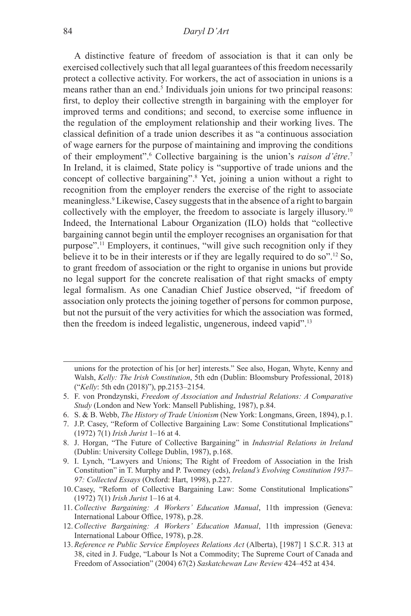A distinctive feature of freedom of association is that it can only be exercised collectively such that all legal guarantees of this freedom necessarily protect a collective activity. For workers, the act of association in unions is a means rather than an end.<sup>5</sup> Individuals join unions for two principal reasons: first, to deploy their collective strength in bargaining with the employer for improved terms and conditions; and second, to exercise some influence in the regulation of the employment relationship and their working lives. The classical definition of a trade union describes it as "a continuous association of wage earners for the purpose of maintaining and improving the conditions of their employment".<sup>6</sup> Collective bargaining is the union's *raison d'être*.<sup>7</sup> In Ireland, it is claimed, State policy is "supportive of trade unions and the concept of collective bargaining".8 Yet, joining a union without a right to recognition from the employer renders the exercise of the right to associate meaningless.9 Likewise, Casey suggests that in the absence of a right to bargain collectively with the employer, the freedom to associate is largely illusory.<sup>10</sup> Indeed, the International Labour Organization (ILO) holds that "collective bargaining cannot begin until the employer recognises an organisation for that purpose".11 Employers, it continues, "will give such recognition only if they believe it to be in their interests or if they are legally required to do so".12 So, to grant freedom of association or the right to organise in unions but provide no legal support for the concrete realisation of that right smacks of empty legal formalism. As one Canadian Chief Justice observed, "if freedom of association only protects the joining together of persons for common purpose, but not the pursuit of the very activities for which the association was formed, then the freedom is indeed legalistic, ungenerous, indeed vapid".13

- 6. S. & B. Webb, *The History of Trade Unionism* (New York: Longmans, Green, 1894), p.1.
- 7. J.P. Casey, "Reform of Collective Bargaining Law: Some Constitutional Implications" (1972) 7(1) *Irish Jurist* 1–16 at 4.
- 8. J. Horgan, "The Future of Collective Bargaining" in *Industrial Relations in Ireland* (Dublin: University College Dublin, 1987), p.168.
- 9. I. Lynch, "Lawyers and Unions; The Right of Freedom of Association in the Irish Constitution" in T. Murphy and P. Twomey (eds), *Ireland's Evolving Constitution 1937– 97: Collected Essays* (Oxford: Hart, 1998), p.227.
- 10.Casey, "Reform of Collective Bargaining Law: Some Constitutional Implications" (1972) 7(1) *Irish Jurist* 1–16 at 4.
- 11. *Collective Bargaining: A Workers' Education Manual*, 11th impression (Geneva: International Labour Office, 1978), p.28.
- 12.*Collective Bargaining: A Workers' Education Manual*, 11th impression (Geneva: International Labour Office, 1978), p.28.
- 13. *Reference re Public Service Employees Relations Act* (Alberta), [1987] 1 S.C.R. 313 at 38, cited in J. Fudge, "Labour Is Not a Commodity; The Supreme Court of Canada and Freedom of Association" (2004) 67(2) *Saskatchewan Law Review* 424–452 at 434.

unions for the protection of his [or her] interests." See also, Hogan, Whyte, Kenny and Walsh, *Kelly: The Irish Constitution*, 5th edn (Dublin: Bloomsbury Professional, 2018) ("*Kelly*: 5th edn (2018)"), pp.2153–2154.

<sup>5.</sup> F. von Prondzynski, *Freedom of Association and Industrial Relations: A Comparative Study* (London and New York: Mansell Publishing, 1987), p.84.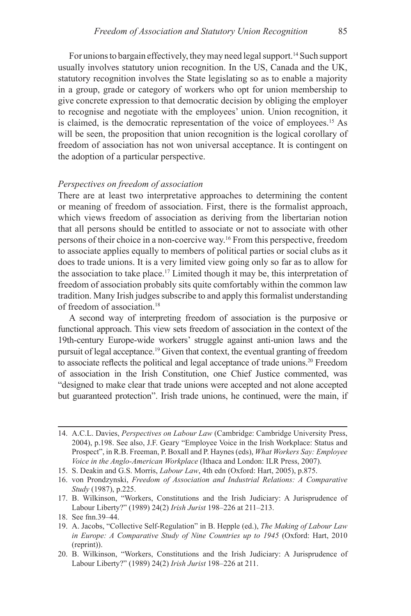For unions to bargain effectively, they may need legal support.<sup>14</sup> Such support usually involves statutory union recognition. In the US, Canada and the UK, statutory recognition involves the State legislating so as to enable a majority in a group, grade or category of workers who opt for union membership to give concrete expression to that democratic decision by obliging the employer to recognise and negotiate with the employees' union. Union recognition, it is claimed, is the democratic representation of the voice of employees.15 As will be seen, the proposition that union recognition is the logical corollary of freedom of association has not won universal acceptance. It is contingent on the adoption of a particular perspective.

### *Perspectives on freedom of association*

There are at least two interpretative approaches to determining the content or meaning of freedom of association. First, there is the formalist approach, which views freedom of association as deriving from the libertarian notion that all persons should be entitled to associate or not to associate with other persons of their choice in a non-coercive way.16 From this perspective, freedom to associate applies equally to members of political parties or social clubs as it does to trade unions. It is a very limited view going only so far as to allow for the association to take place.<sup>17</sup> Limited though it may be, this interpretation of freedom of association probably sits quite comfortably within the common law tradition. Many Irish judges subscribe to and apply this formalist understanding of freedom of association.18

A second way of interpreting freedom of association is the purposive or functional approach. This view sets freedom of association in the context of the 19th-century Europe-wide workers' struggle against anti-union laws and the pursuit of legal acceptance.19 Given that context, the eventual granting of freedom to associate reflects the political and legal acceptance of trade unions.20 Freedom of association in the Irish Constitution, one Chief Justice commented, was "designed to make clear that trade unions were accepted and not alone accepted but guaranteed protection". Irish trade unions, he continued, were the main, if

<sup>14.</sup> A.C.L. Davies, *Perspectives on Labour Law* (Cambridge: Cambridge University Press, 2004), p.198. See also, J.F. Geary "Employee Voice in the Irish Workplace: Status and Prospect", in R.B. Freeman, P. Boxall and P. Haynes (eds), *What Workers Say: Employee Voice in the Anglo-American Workplace* (Ithaca and London: ILR Press, 2007).

<sup>15.</sup> S. Deakin and G.S. Morris, *Labour Law*, 4th edn (Oxford: Hart, 2005), p.875.

<sup>16.</sup> von Prondzynski, *Freedom of Association and Industrial Relations: A Comparative Study* (1987), p.225.

<sup>17.</sup> B. Wilkinson, "Workers, Constitutions and the Irish Judiciary: A Jurisprudence of Labour Liberty?" (1989) 24(2) *Irish Jurist* 198–226 at 211–213.

<sup>18.</sup> See fnn.39–44.

<sup>19.</sup> A. Jacobs, "Collective Self-Regulation" in B. Hepple (ed.), *The Making of Labour Law in Europe: A Comparative Study of Nine Countries up to 1945* (Oxford: Hart, 2010 (reprint)).

<sup>20.</sup> B. Wilkinson, "Workers, Constitutions and the Irish Judiciary: A Jurisprudence of Labour Liberty?" (1989) 24(2) *Irish Jurist* 198–226 at 211.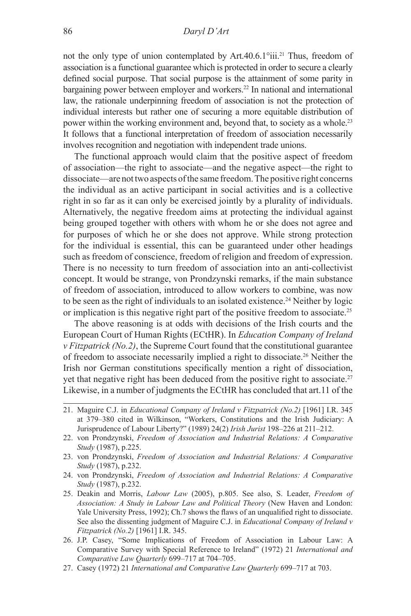not the only type of union contemplated by Art.40.6.1°iii.21 Thus, freedom of association is a functional guarantee which is protected in order to secure a clearly defined social purpose. That social purpose is the attainment of some parity in bargaining power between employer and workers.22 In national and international law, the rationale underpinning freedom of association is not the protection of individual interests but rather one of securing a more equitable distribution of power within the working environment and, beyond that, to society as a whole.<sup>23</sup> It follows that a functional interpretation of freedom of association necessarily involves recognition and negotiation with independent trade unions.

The functional approach would claim that the positive aspect of freedom of association—the right to associate—and the negative aspect—the right to dissociate—are not two aspects of the same freedom. The positive right concerns the individual as an active participant in social activities and is a collective right in so far as it can only be exercised jointly by a plurality of individuals. Alternatively, the negative freedom aims at protecting the individual against being grouped together with others with whom he or she does not agree and for purposes of which he or she does not approve. While strong protection for the individual is essential, this can be guaranteed under other headings such as freedom of conscience, freedom of religion and freedom of expression. There is no necessity to turn freedom of association into an anti-collectivist concept. It would be strange, von Prondzynski remarks, if the main substance of freedom of association, introduced to allow workers to combine, was now to be seen as the right of individuals to an isolated existence.24 Neither by logic or implication is this negative right part of the positive freedom to associate.<sup>25</sup>

The above reasoning is at odds with decisions of the Irish courts and the European Court of Human Rights (ECtHR). In *Education Company of Ireland v Fitzpatrick (No.2)*, the Supreme Court found that the constitutional guarantee of freedom to associate necessarily implied a right to dissociate.26 Neither the Irish nor German constitutions specifically mention a right of dissociation, yet that negative right has been deduced from the positive right to associate.<sup>27</sup> Likewise, in a number of judgments the ECtHR has concluded that art.11 of the

- 24. von Prondzynski, *Freedom of Association and Industrial Relations: A Comparative Study* (1987), p.232.
- 25. Deakin and Morris, *Labour Law* (2005), p.805. See also, S. Leader, *Freedom of Association: A Study in Labour Law and Political Theory* (New Haven and London: Yale University Press, 1992); Ch.7 shows the flaws of an unqualified right to dissociate. See also the dissenting judgment of Maguire C.J. in *Educational Company of Ireland v Fitzpatrick (No.2)* [1961] I.R. 345.
- 26. J.P. Casey, "Some Implications of Freedom of Association in Labour Law: A Comparative Survey with Special Reference to Ireland" (1972) 21 *International and Comparative Law Quarterly* 699–717 at 704–705.
- 27. Casey (1972) 21 *International and Comparative Law Quarterly* 699–717 at 703.

<sup>21.</sup> Maguire C.J. in *Educational Company of Ireland v Fitzpatrick (No.2)* [1961] I.R. 345 at 379–380 cited in Wilkinson, "Workers, Constitutions and the Irish Judiciary: A Jurisprudence of Labour Liberty?" (1989) 24(2) *Irish Jurist* 198–226 at 211–212.

<sup>22.</sup> von Prondzynski, *Freedom of Association and Industrial Relations: A Comparative Study* (1987), p.225.

<sup>23.</sup> von Prondzynski, *Freedom of Association and Industrial Relations: A Comparative Study* (1987), p.232.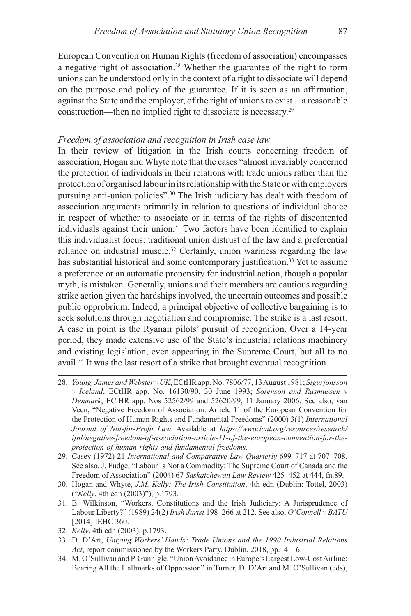European Convention on Human Rights (freedom of association) encompasses a negative right of association.28 Whether the guarantee of the right to form unions can be understood only in the context of a right to dissociate will depend on the purpose and policy of the guarantee. If it is seen as an affirmation, against the State and the employer, of the right of unions to exist—a reasonable construction—then no implied right to dissociate is necessary.29

### *Freedom of association and recognition in Irish case law*

In their review of litigation in the Irish courts concerning freedom of association, Hogan and Whyte note that the cases "almost invariably concerned the protection of individuals in their relations with trade unions rather than the protection of organised labour in its relationship with the State or with employers pursuing anti-union policies".<sup>30</sup> The Irish judiciary has dealt with freedom of association arguments primarily in relation to questions of individual choice in respect of whether to associate or in terms of the rights of discontented individuals against their union.<sup>31</sup> Two factors have been identified to explain this individualist focus: traditional union distrust of the law and a preferential reliance on industrial muscle.<sup>32</sup> Certainly, union wariness regarding the law has substantial historical and some contemporary justification.<sup>33</sup> Yet to assume a preference or an automatic propensity for industrial action, though a popular myth, is mistaken. Generally, unions and their members are cautious regarding strike action given the hardships involved, the uncertain outcomes and possible public opprobrium. Indeed, a principal objective of collective bargaining is to seek solutions through negotiation and compromise. The strike is a last resort. A case in point is the Ryanair pilots' pursuit of recognition. Over a 14-year period, they made extensive use of the State's industrial relations machinery and existing legislation, even appearing in the Supreme Court, but all to no avail.34 It was the last resort of a strike that brought eventual recognition.

- 28. *Young, James and Webster v UK*, ECtHR app. No. 7806/77, 13 August 1981; *Sigurjonsson v Iceland*, ECtHR app. No. 16130/90, 30 June 1993; *Sorenson and Rasmussen v Denmark*, ECtHR app. Nos 52562/99 and 52620/99, 11 January 2006. See also, van Veen, "Negative Freedom of Association: Article 11 of the European Convention for the Protection of Human Rights and Fundamental Freedoms" (2000) 3(1) *International Journal of Not-for-Profit Law*. Available at *https://www.icnl.org/resources/research/ ijnl/negative-freedom-of-association-article-11-of-the-european-convention-for-theprotection-of-human-rights-and-fundamental-freedoms*.
- 29. Casey (1972) 21 *International and Comparative Law Quarterly* 699–717 at 707–708. See also, J. Fudge, "Labour Is Not a Commodity: The Supreme Court of Canada and the Freedom of Association" (2004) 67 *Saskatchewan Law Review* 425–452 at 444, fn.89.
- 30. Hogan and Whyte, *J.M. Kelly: The Irish Constitution*, 4th edn (Dublin: Tottel, 2003) ("*Kelly*, 4th edn (2003)"), p.1793.
- 31. B. Wilkinson, "Workers, Constitutions and the Irish Judiciary: A Jurisprudence of Labour Liberty?" (1989) 24(2) *Irish Jurist* 198–266 at 212. See also, *O'Connell v BATU* [2014] IEHC 360.
- 32. *Kelly*, 4th edn (2003), p.1793.
- 33. D. D'Art, *Untying Workers' Hands: Trade Unions and the 1990 Industrial Relations Act*, report commissioned by the Workers Party, Dublin, 2018, pp.14–16.
- 34. M. O'Sullivan and P. Gunnigle, "Union Avoidance in Europe's Largest Low-Cost Airline: Bearing All the Hallmarks of Oppression" in Turner, D. D'Art and M. O'Sullivan (eds),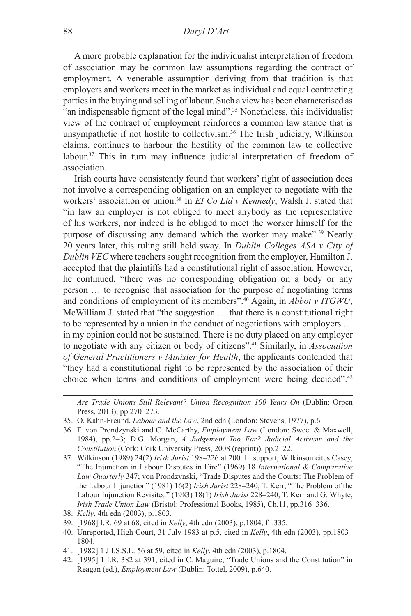A more probable explanation for the individualist interpretation of freedom of association may be common law assumptions regarding the contract of employment. A venerable assumption deriving from that tradition is that employers and workers meet in the market as individual and equal contracting parties in the buying and selling of labour. Such a view has been characterised as "an indispensable figment of the legal mind".35 Nonetheless, this individualist view of the contract of employment reinforces a common law stance that is unsympathetic if not hostile to collectivism.36 The Irish judiciary, Wilkinson claims, continues to harbour the hostility of the common law to collective labour.<sup>37</sup> This in turn may influence judicial interpretation of freedom of association.

Irish courts have consistently found that workers' right of association does not involve a corresponding obligation on an employer to negotiate with the workers' association or union.38 In *EI Co Ltd v Kennedy*, Walsh J. stated that "in law an employer is not obliged to meet anybody as the representative of his workers, nor indeed is he obliged to meet the worker himself for the purpose of discussing any demand which the worker may make".39 Nearly 20 years later, this ruling still held sway. In *Dublin Colleges ASA v City of Dublin VEC* where teachers sought recognition from the employer, Hamilton J. accepted that the plaintiffs had a constitutional right of association. However, he continued, "there was no corresponding obligation on a body or any person … to recognise that association for the purpose of negotiating terms and conditions of employment of its members".40 Again, in *Abbot v ITGWU*, McWilliam J. stated that "the suggestion … that there is a constitutional right to be represented by a union in the conduct of negotiations with employers … in my opinion could not be sustained. There is no duty placed on any employer to negotiate with any citizen or body of citizens".41 Similarly, in *Association of General Practitioners v Minister for Health*, the applicants contended that "they had a constitutional right to be represented by the association of their choice when terms and conditions of employment were being decided".<sup>42</sup>

*Are Trade Unions Still Relevant? Union Recognition 100 Years On* (Dublin: Orpen Press, 2013), pp.270–273.

<sup>35.</sup> O. Kahn-Freund, *Labour and the Law*, 2nd edn (London: Stevens, 1977), p.6.

<sup>36.</sup> F. von Prondzynski and C. McCarthy, *Employment Law* (London: Sweet & Maxwell, 1984), pp.2–3; D.G. Morgan, *A Judgement Too Far? Judicial Activism and the Constitution* (Cork: Cork University Press, 2008 (reprint)), pp.2–22.

<sup>37.</sup> Wilkinson (1989) 24(2) *Irish Jurist* 198–226 at 200. In support, Wilkinson cites Casey, "The Injunction in Labour Disputes in Eire" (1969) 18 *International & Comparative Law Quarterly* 347; von Prondzynski, "Trade Disputes and the Courts: The Problem of the Labour Injunction" (1981) 16(2) *Irish Jurist* 228–240; T. Kerr, "The Problem of the Labour Injunction Revisited" (1983) 18(1) *Irish Jurist* 228–240; T. Kerr and G. Whyte, *Irish Trade Union Law* (Bristol: Professional Books, 1985), Ch.11, pp.316–336.

<sup>38.</sup> *Kelly*, 4th edn (2003), p.1803.

<sup>39.</sup> [1968] I.R. 69 at 68, cited in *Kelly*, 4th edn (2003), p.1804, fn.335.

<sup>40.</sup> Unreported, High Court, 31 July 1983 at p.5, cited in *Kelly*, 4th edn (2003), pp.1803– 1804.

<sup>41.</sup> [1982] 1 J.I.S.S.L. 56 at 59, cited in *Kelly*, 4th edn (2003), p.1804.

<sup>42.</sup> [1995] 1 I.R. 382 at 391, cited in C. Maguire, "Trade Unions and the Constitution" in Reagan (ed.), *Employment Law* (Dublin: Tottel, 2009), p.640.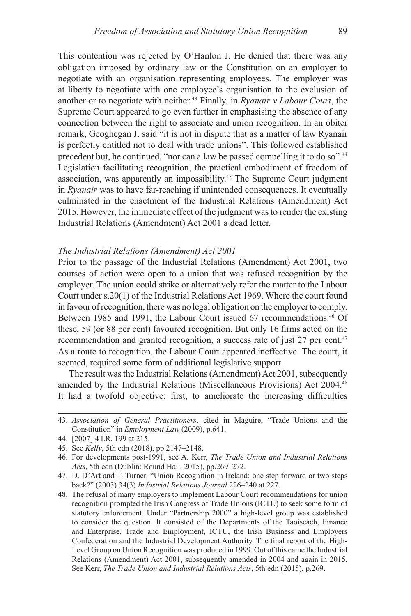This contention was rejected by O'Hanlon J. He denied that there was any obligation imposed by ordinary law or the Constitution on an employer to negotiate with an organisation representing employees. The employer was at liberty to negotiate with one employee's organisation to the exclusion of another or to negotiate with neither.43 Finally, in *Ryanair v Labour Court*, the Supreme Court appeared to go even further in emphasising the absence of any connection between the right to associate and union recognition. In an obiter remark, Geoghegan J. said "it is not in dispute that as a matter of law Ryanair is perfectly entitled not to deal with trade unions". This followed established precedent but, he continued, "nor can a law be passed compelling it to do so".<sup>44</sup> Legislation facilitating recognition, the practical embodiment of freedom of association, was apparently an impossibility.45 The Supreme Court judgment in *Ryanair* was to have far-reaching if unintended consequences. It eventually culminated in the enactment of the Industrial Relations (Amendment) Act 2015. However, the immediate effect of the judgment was to render the existing Industrial Relations (Amendment) Act 2001 a dead letter.

#### *The Industrial Relations (Amendment) Act 2001*

Prior to the passage of the Industrial Relations (Amendment) Act 2001, two courses of action were open to a union that was refused recognition by the employer. The union could strike or alternatively refer the matter to the Labour Court under s.20(1) of the Industrial Relations Act 1969. Where the court found in favour of recognition, there was no legal obligation on the employer to comply. Between 1985 and 1991, the Labour Court issued 67 recommendations.<sup>46</sup> Of these, 59 (or 88 per cent) favoured recognition. But only 16 firms acted on the recommendation and granted recognition, a success rate of just 27 per cent.<sup>47</sup> As a route to recognition, the Labour Court appeared ineffective. The court, it seemed, required some form of additional legislative support.

The result was the Industrial Relations (Amendment) Act 2001, subsequently amended by the Industrial Relations (Miscellaneous Provisions) Act 2004.48 It had a twofold objective: first, to ameliorate the increasing difficulties

<sup>43.</sup> *Association of General Practitioners*, cited in Maguire, "Trade Unions and the Constitution" in *Employment Law* (2009), p.641.

<sup>44.</sup> [2007] 4 I.R. 199 at 215.

<sup>45.</sup> See *Kelly*, 5th edn (2018), pp.2147–2148.

<sup>46.</sup> For developments post-1991, see A. Kerr, *The Trade Union and Industrial Relations Acts*, 5th edn (Dublin: Round Hall, 2015), pp.269–272.

<sup>47.</sup> D. D'Art and T. Turner, "Union Recognition in Ireland: one step forward or two steps back?" (2003) 34(3) *Industrial Relations Journal* 226–240 at 227.

<sup>48.</sup> The refusal of many employers to implement Labour Court recommendations for union recognition prompted the Irish Congress of Trade Unions (ICTU) to seek some form of statutory enforcement. Under "Partnership 2000" a high-level group was established to consider the question. It consisted of the Departments of the Taoiseach, Finance and Enterprise, Trade and Employment, ICTU, the Irish Business and Employers Confederation and the Industrial Development Authority. The final report of the High-Level Group on Union Recognition was produced in 1999. Out of this came the Industrial Relations (Amendment) Act 2001, subsequently amended in 2004 and again in 2015. See Kerr, *The Trade Union and Industrial Relations Acts*, 5th edn (2015), p.269.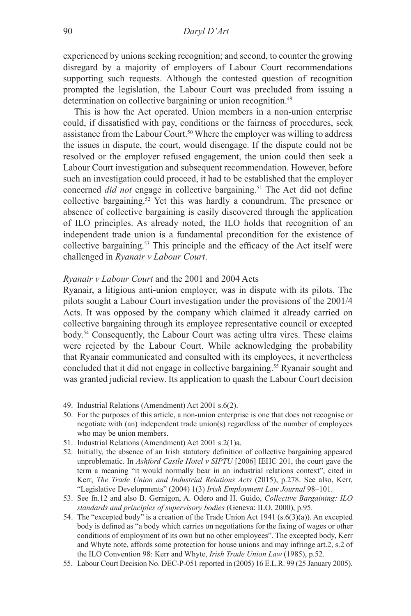experienced by unions seeking recognition; and second, to counter the growing disregard by a majority of employers of Labour Court recommendations supporting such requests. Although the contested question of recognition prompted the legislation, the Labour Court was precluded from issuing a determination on collective bargaining or union recognition.<sup>49</sup>

This is how the Act operated. Union members in a non-union enterprise could, if dissatisfied with pay, conditions or the fairness of procedures, seek assistance from the Labour Court.<sup>50</sup> Where the employer was willing to address the issues in dispute, the court, would disengage. If the dispute could not be resolved or the employer refused engagement, the union could then seek a Labour Court investigation and subsequent recommendation. However, before such an investigation could proceed, it had to be established that the employer concerned *did not* engage in collective bargaining.<sup>51</sup> The Act did not define collective bargaining.52 Yet this was hardly a conundrum. The presence or absence of collective bargaining is easily discovered through the application of ILO principles. As already noted, the ILO holds that recognition of an independent trade union is a fundamental precondition for the existence of collective bargaining.53 This principle and the efficacy of the Act itself were challenged in *Ryanair v Labour Court*.

### *Ryanair v Labour Court* and the 2001 and 2004 Acts

Ryanair, a litigious anti-union employer, was in dispute with its pilots. The pilots sought a Labour Court investigation under the provisions of the 2001/4 Acts. It was opposed by the company which claimed it already carried on collective bargaining through its employee representative council or excepted body.54 Consequently, the Labour Court was acting ultra vires. These claims were rejected by the Labour Court. While acknowledging the probability that Ryanair communicated and consulted with its employees, it nevertheless concluded that it did not engage in collective bargaining.55 Ryanair sought and was granted judicial review. Its application to quash the Labour Court decision

<sup>49.</sup> Industrial Relations (Amendment) Act 2001 s.6(2).

<sup>50.</sup> For the purposes of this article, a non-union enterprise is one that does not recognise or negotiate with (an) independent trade union(s) regardless of the number of employees who may be union members.

<sup>51.</sup> Industrial Relations (Amendment) Act 2001 s.2(1)a.

<sup>52.</sup> Initially, the absence of an Irish statutory definition of collective bargaining appeared unproblematic. In *Ashford Castle Hotel v SIPTU* [2006] IEHC 201, the court gave the term a meaning "it would normally bear in an industrial relations context", cited in Kerr, *The Trade Union and Industrial Relations Acts* (2015), p.278. See also, Kerr, "Legislative Developments" (2004) 1(3) *Irish Employment Law Journal* 98–101.

<sup>53.</sup> See fn.12 and also B. Gernigon, A. Odero and H. Guido, *Collective Bargaining: ILO standards and principles of supervisory bodies* (Geneva: ILO, 2000), p.95.

<sup>54.</sup> The "excepted body" is a creation of the Trade Union Act 1941 (s.6(3)(a)). An excepted body is defined as "a body which carries on negotiations for the fixing of wages or other conditions of employment of its own but no other employees". The excepted body, Kerr and Whyte note, affords some protection for house unions and may infringe art.2, s.2 of the ILO Convention 98: Kerr and Whyte, *Irish Trade Union Law* (1985), p.52.

<sup>55.</sup> Labour Court Decision No. DEC-P-051 reported in (2005) 16 E.L.R. 99 (25 January 2005).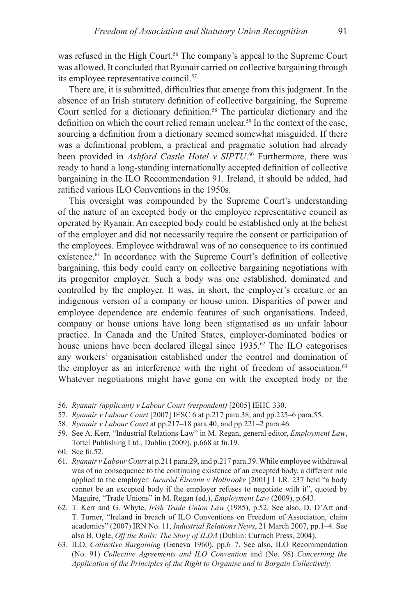was refused in the High Court.<sup>56</sup> The company's appeal to the Supreme Court was allowed. It concluded that Ryanair carried on collective bargaining through its employee representative council.57

There are, it is submitted, difficulties that emerge from this judgment. In the absence of an Irish statutory definition of collective bargaining, the Supreme Court settled for a dictionary definition.<sup>58</sup> The particular dictionary and the definition on which the court relied remain unclear.<sup>59</sup> In the context of the case, sourcing a definition from a dictionary seemed somewhat misguided. If there was a definitional problem, a practical and pragmatic solution had already been provided in *Ashford Castle Hotel v SIPTU*. <sup>60</sup> Furthermore, there was ready to hand a long-standing internationally accepted definition of collective bargaining in the ILO Recommendation 91. Ireland, it should be added, had ratified various ILO Conventions in the 1950s.

This oversight was compounded by the Supreme Court's understanding of the nature of an excepted body or the employee representative council as operated by Ryanair. An excepted body could be established only at the behest of the employer and did not necessarily require the consent or participation of the employees. Employee withdrawal was of no consequence to its continued existence.<sup>61</sup> In accordance with the Supreme Court's definition of collective bargaining, this body could carry on collective bargaining negotiations with its progenitor employer. Such a body was one established, dominated and controlled by the employer. It was, in short, the employer's creature or an indigenous version of a company or house union. Disparities of power and employee dependence are endemic features of such organisations. Indeed, company or house unions have long been stigmatised as an unfair labour practice. In Canada and the United States, employer-dominated bodies or house unions have been declared illegal since 1935.<sup>62</sup> The ILO categorises any workers' organisation established under the control and domination of the employer as an interference with the right of freedom of association.<sup>63</sup> Whatever negotiations might have gone on with the excepted body or the

<sup>56.</sup> *Ryanair (applicant) v Labour Court (respondent)* [2005] IEHC 330.

<sup>57.</sup> *Ryanair v Labour Court* [2007] IESC 6 at p.217 para.38, and pp.225–6 para.55.

<sup>58.</sup> *Ryanair v Labour Court* at pp.217–18 para.40, and pp.221–2 para.46.

<sup>59.</sup> See A. Kerr, "Industrial Relations Law" in M. Regan, general editor, *Employment Law*, Tottel Publishing Ltd., Dublin (2009), p.668 at fn.19.

<sup>60.</sup> See fn.52.

<sup>61.</sup> *Ryanair v Labour Court* at p.211 para.29, and p.217 para.39. While employee withdrawal was of no consequence to the continuing existence of an excepted body, a different rule applied to the employer: *Iarnród Éireann v Holbrooke* [2001] 1 I.R. 237 held "a body cannot be an excepted body if the employer refuses to negotiate with it", quoted by Maguire, "Trade Unions" in M. Regan (ed.), *Employment Law* (2009), p.643.

<sup>62.</sup> T. Kerr and G. Whyte, *Irish Trade Union Law* (1985), p.52. See also, D. D'Art and T. Turner, "Ireland in breach of ILO Conventions on Freedom of Association, claim academics" (2007) IRN No. 11, *Industrial Relations News*, 21 March 2007, pp.1–4. See also B. Ogle, *Off the Rails: The Story of ILDA* (Dublin: Currach Press, 2004).

<sup>63.</sup> ILO, *Collective Bargaining* (Geneva 1960), pp.6–7. See also, ILO Recommendation (No. 91) *Collective Agreements and ILO Convention* and (No. 98) *Concerning the Application of the Principles of the Right to Organise and to Bargain Collectively.*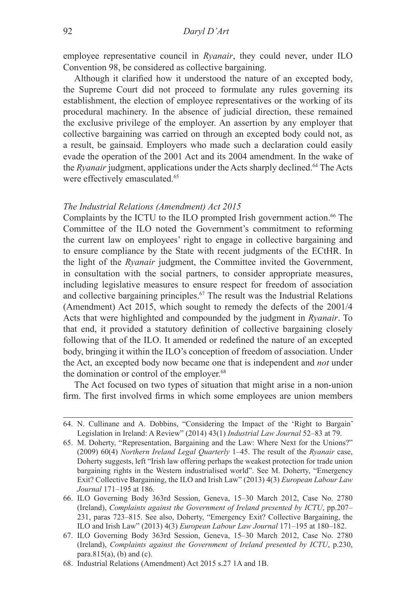employee representative council in *Ryanair*, they could never, under ILO Convention 98, be considered as collective bargaining.

Although it clarified how it understood the nature of an excepted body, the Supreme Court did not proceed to formulate any rules governing its establishment, the election of employee representatives or the working of its procedural machinery. In the absence of judicial direction, these remained the exclusive privilege of the employer. An assertion by any employer that collective bargaining was carried on through an excepted body could not, as a result, be gainsaid. Employers who made such a declaration could easily evade the operation of the 2001 Act and its 2004 amendment. In the wake of the *Ryanair* judgment, applications under the Acts sharply declined.<sup>64</sup> The Acts were effectively emasculated.<sup>65</sup>

### *The Industrial Relations (Amendment) Act 2015*

Complaints by the ICTU to the ILO prompted Irish government action.<sup>66</sup> The Committee of the ILO noted the Government's commitment to reforming the current law on employees' right to engage in collective bargaining and to ensure compliance by the State with recent judgments of the ECtHR. In the light of the *Ryanair* judgment, the Committee invited the Government, in consultation with the social partners, to consider appropriate measures, including legislative measures to ensure respect for freedom of association and collective bargaining principles.67 The result was the Industrial Relations (Amendment) Act 2015, which sought to remedy the defects of the 2001/4 Acts that were highlighted and compounded by the judgment in *Ryanair*. To that end, it provided a statutory definition of collective bargaining closely following that of the ILO. It amended or redefined the nature of an excepted body, bringing it within the ILO's conception of freedom of association. Under the Act, an excepted body now became one that is independent and *not* under the domination or control of the employer.<sup>68</sup>

The Act focused on two types of situation that might arise in a non-union firm. The first involved firms in which some employees are union members

<sup>64.</sup> N. Cullinane and A. Dobbins, "Considering the Impact of the 'Right to Bargain' Legislation in Ireland: A Review" (2014) 43(1) *Industrial Law Journal* 52–83 at 79.

<sup>65.</sup> M. Doherty, "Representation, Bargaining and the Law: Where Next for the Unions?" (2009) 60(4) *Northern Ireland Legal Quarterly* 1–45. The result of the *Ryanair* case, Doherty suggests, left "Irish law offering perhaps the weakest protection for trade union bargaining rights in the Western industrialised world". See M. Doherty, "Emergency Exit? Collective Bargaining, the ILO and Irish Law" (2013) 4(3) *European Labour Law Journal* 171–195 at 186.

<sup>66.</sup> ILO Governing Body 363rd Session, Geneva, 15–30 March 2012, Case No. 2780 (Ireland), *Complaints against the Government of Ireland presented by ICTU*, pp.207– 231, paras 723–815. See also, Doherty, "Emergency Exit? Collective Bargaining, the ILO and Irish Law" (2013) 4(3) *European Labour Law Journal* 171–195 at 180–182.

<sup>67.</sup> ILO Governing Body 363rd Session, Geneva, 15–30 March 2012, Case No. 2780 (Ireland), *Complaints against the Government of Ireland presented by ICTU*, p.230, para.815 $(a)$ ,  $(b)$  and  $(c)$ .

<sup>68.</sup> Industrial Relations (Amendment) Act 2015 s.27 1A and 1B.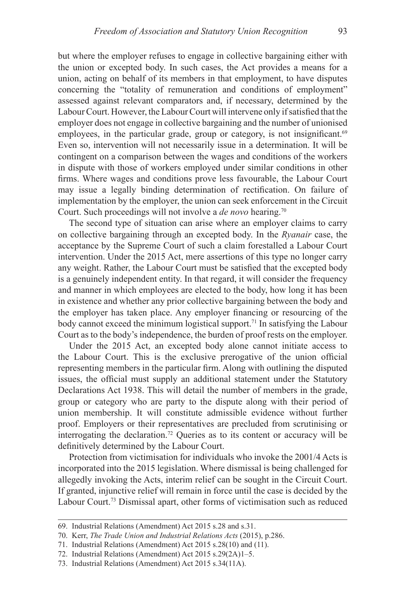but where the employer refuses to engage in collective bargaining either with the union or excepted body. In such cases, the Act provides a means for a union, acting on behalf of its members in that employment, to have disputes concerning the "totality of remuneration and conditions of employment" assessed against relevant comparators and, if necessary, determined by the Labour Court. However, the Labour Court will intervene only if satisfied that the employer does not engage in collective bargaining and the number of unionised employees, in the particular grade, group or category, is not insignificant.<sup>69</sup> Even so, intervention will not necessarily issue in a determination. It will be contingent on a comparison between the wages and conditions of the workers in dispute with those of workers employed under similar conditions in other firms. Where wages and conditions prove less favourable, the Labour Court may issue a legally binding determination of rectification. On failure of implementation by the employer, the union can seek enforcement in the Circuit Court. Such proceedings will not involve a *de novo* hearing.<sup>70</sup>

The second type of situation can arise where an employer claims to carry on collective bargaining through an excepted body. In the *Ryanair* case, the acceptance by the Supreme Court of such a claim forestalled a Labour Court intervention. Under the 2015 Act, mere assertions of this type no longer carry any weight. Rather, the Labour Court must be satisfied that the excepted body is a genuinely independent entity. In that regard, it will consider the frequency and manner in which employees are elected to the body, how long it has been in existence and whether any prior collective bargaining between the body and the employer has taken place. Any employer financing or resourcing of the body cannot exceed the minimum logistical support.<sup>71</sup> In satisfying the Labour Court as to the body's independence, the burden of proof rests on the employer.

Under the 2015 Act, an excepted body alone cannot initiate access to the Labour Court. This is the exclusive prerogative of the union official representing members in the particular firm. Along with outlining the disputed issues, the official must supply an additional statement under the Statutory Declarations Act 1938. This will detail the number of members in the grade, group or category who are party to the dispute along with their period of union membership. It will constitute admissible evidence without further proof. Employers or their representatives are precluded from scrutinising or interrogating the declaration.72 Queries as to its content or accuracy will be definitively determined by the Labour Court.

Protection from victimisation for individuals who invoke the 2001/4 Acts is incorporated into the 2015 legislation. Where dismissal is being challenged for allegedly invoking the Acts, interim relief can be sought in the Circuit Court. If granted, injunctive relief will remain in force until the case is decided by the Labour Court.73 Dismissal apart, other forms of victimisation such as reduced

<sup>69.</sup> Industrial Relations (Amendment) Act 2015 s.28 and s.31.

<sup>70.</sup> Kerr, *The Trade Union and Industrial Relations Acts* (2015), p.286.

<sup>71.</sup> Industrial Relations (Amendment) Act 2015 s.28(10) and (11).

<sup>72.</sup> Industrial Relations (Amendment) Act 2015 s.29(2A)1–5.

<sup>73.</sup> Industrial Relations (Amendment) Act 2015 s.34(11A).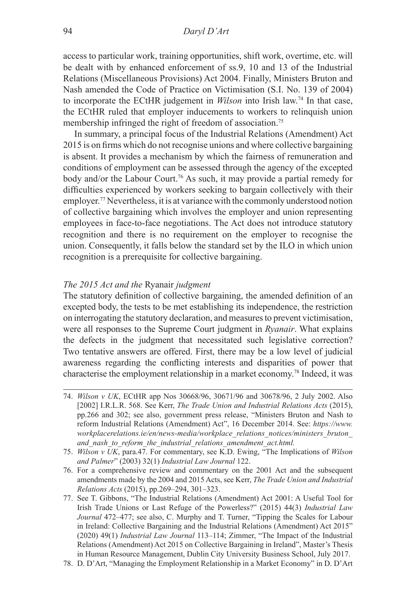access to particular work, training opportunities, shift work, overtime, etc. will be dealt with by enhanced enforcement of ss.9, 10 and 13 of the Industrial Relations (Miscellaneous Provisions) Act 2004. Finally, Ministers Bruton and Nash amended the Code of Practice on Victimisation (S.I. No. 139 of 2004) to incorporate the ECtHR judgement in *Wilson* into Irish law.74 In that case, the ECtHR ruled that employer inducements to workers to relinquish union membership infringed the right of freedom of association.<sup>75</sup>

In summary, a principal focus of the Industrial Relations (Amendment) Act 2015 is on firms which do not recognise unions and where collective bargaining is absent. It provides a mechanism by which the fairness of remuneration and conditions of employment can be assessed through the agency of the excepted body and/or the Labour Court.76 As such, it may provide a partial remedy for difficulties experienced by workers seeking to bargain collectively with their employer.77 Nevertheless, it is at variance with the commonly understood notion of collective bargaining which involves the employer and union representing employees in face-to-face negotiations. The Act does not introduce statutory recognition and there is no requirement on the employer to recognise the union. Consequently, it falls below the standard set by the ILO in which union recognition is a prerequisite for collective bargaining.

### *The 2015 Act and the* Ryanair *judgment*

The statutory definition of collective bargaining, the amended definition of an excepted body, the tests to be met establishing its independence, the restriction on interrogating the statutory declaration, and measures to prevent victimisation, were all responses to the Supreme Court judgment in *Ryanair*. What explains the defects in the judgment that necessitated such legislative correction? Two tentative answers are offered. First, there may be a low level of judicial awareness regarding the conflicting interests and disparities of power that characterise the employment relationship in a market economy.<sup>78</sup> Indeed, it was

- 74. *Wilson v UK*, ECtHR app Nos 30668/96, 30671/96 and 30678/96, 2 July 2002. Also [2002] I.R.L.R. 568. See Kerr, *The Trade Union and Industrial Relations Acts* (2015), pp.266 and 302; see also, government press release, "Ministers Bruton and Nash to reform Industrial Relations (Amendment) Act", 16 December 2014. See: *https://www. workplacerelations.ie/en/news-media/workplace\_relations\_notices/ministers\_bruton\_ and\_nash\_to\_reform\_the\_industrial\_relations\_amendment\_act.html.*
- 75. *Wilson v UK*, para.47. For commentary, see K.D. Ewing, "The Implications of *Wilson and Palmer*" (2003) 32(1) *Industrial Law Journal* 122.
- 76. For a comprehensive review and commentary on the 2001 Act and the subsequent amendments made by the 2004 and 2015 Acts, see Kerr, *The Trade Union and Industrial Relations Acts* (2015), pp.269–294, 301–323.
- 77. See T. Gibbons, "The Industrial Relations (Amendment) Act 2001: A Useful Tool for Irish Trade Unions or Last Refuge of the Powerless?" (2015) 44(3) *Industrial Law Journal* 472–477; see also, C. Murphy and T. Turner, "Tipping the Scales for Labour in Ireland: Collective Bargaining and the Industrial Relations (Amendment) Act 2015" (2020) 49(1) *Industrial Law Journal* 113–114; Zimmer, "The Impact of the Industrial Relations (Amendment) Act 2015 on Collective Bargaining in Ireland", Master's Thesis in Human Resource Management, Dublin City University Business School, July 2017.
- 78. D. D'Art, "Managing the Employment Relationship in a Market Economy" in D. D'Art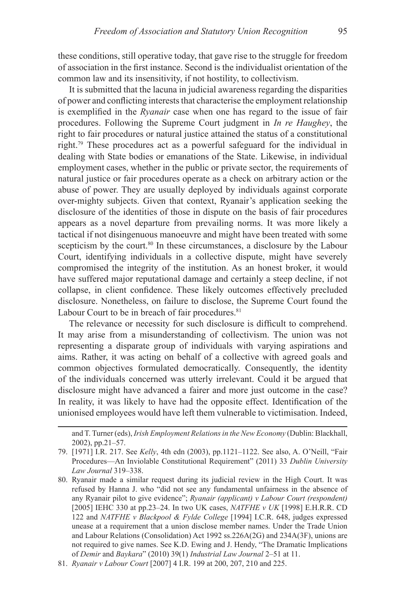these conditions, still operative today, that gave rise to the struggle for freedom of association in the first instance. Second is the individualist orientation of the common law and its insensitivity, if not hostility, to collectivism.

It is submitted that the lacuna in judicial awareness regarding the disparities of power and conflicting interests that characterise the employment relationship is exemplified in the *Ryanair* case when one has regard to the issue of fair procedures. Following the Supreme Court judgment in *In re Haughey*, the right to fair procedures or natural justice attained the status of a constitutional right.79 These procedures act as a powerful safeguard for the individual in dealing with State bodies or emanations of the State. Likewise, in individual employment cases, whether in the public or private sector, the requirements of natural justice or fair procedures operate as a check on arbitrary action or the abuse of power. They are usually deployed by individuals against corporate over-mighty subjects. Given that context, Ryanair's application seeking the disclosure of the identities of those in dispute on the basis of fair procedures appears as a novel departure from prevailing norms. It was more likely a tactical if not disingenuous manoeuvre and might have been treated with some scepticism by the court.<sup>80</sup> In these circumstances, a disclosure by the Labour Court, identifying individuals in a collective dispute, might have severely compromised the integrity of the institution. As an honest broker, it would have suffered major reputational damage and certainly a steep decline, if not collapse, in client confidence. These likely outcomes effectively precluded disclosure. Nonetheless, on failure to disclose, the Supreme Court found the Labour Court to be in breach of fair procedures.<sup>81</sup>

The relevance or necessity for such disclosure is difficult to comprehend. It may arise from a misunderstanding of collectivism. The union was not representing a disparate group of individuals with varying aspirations and aims. Rather, it was acting on behalf of a collective with agreed goals and common objectives formulated democratically. Consequently, the identity of the individuals concerned was utterly irrelevant. Could it be argued that disclosure might have advanced a fairer and more just outcome in the case? In reality, it was likely to have had the opposite effect. Identification of the unionised employees would have left them vulnerable to victimisation. Indeed,

and T. Turner (eds), *Irish Employment Relations in the New Economy* (Dublin: Blackhall, 2002), pp.21–57.

<sup>79.</sup> [1971] I.R. 217. See *Kelly*, 4th edn (2003), pp.1121–1122. See also, A. O'Neill, "Fair Procedures—An Inviolable Constitutional Requirement" (2011) 33 *Dublin University Law Journal* 319–338.

<sup>80.</sup> Ryanair made a similar request during its judicial review in the High Court. It was refused by Hanna J. who "did not see any fundamental unfairness in the absence of any Ryanair pilot to give evidence"; *Ryanair (applicant) v Labour Court (respondent)* [2005] IEHC 330 at pp.23–24. In two UK cases, *NATFHE v UK* [1998] E.H.R.R. CD 122 and *NATFHE v Blackpool & Fylde College* [1994] I.C.R. 648, judges expressed unease at a requirement that a union disclose member names. Under the Trade Union and Labour Relations (Consolidation) Act 1992 ss.226A(2G) and 234A(3F), unions are not required to give names. See K.D. Ewing and J. Hendy, "The Dramatic Implications of *Demir* and *Baykara*" (2010) 39(1) *Industrial Law Journal* 2–51 at 11.

<sup>81.</sup> *Ryanair v Labour Court* [2007] 4 I.R. 199 at 200, 207, 210 and 225.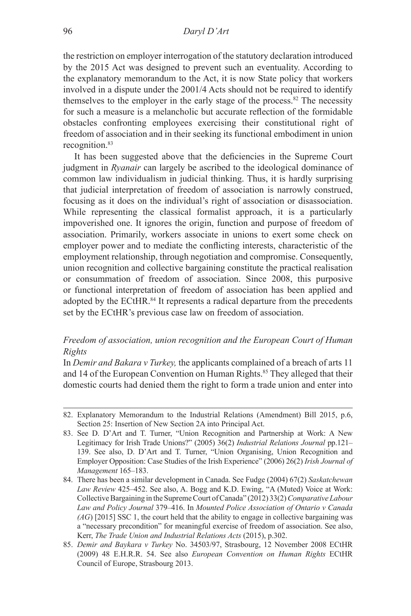the restriction on employer interrogation of the statutory declaration introduced by the 2015 Act was designed to prevent such an eventuality. According to the explanatory memorandum to the Act, it is now State policy that workers involved in a dispute under the 2001/4 Acts should not be required to identify themselves to the employer in the early stage of the process.<sup>82</sup> The necessity for such a measure is a melancholic but accurate reflection of the formidable obstacles confronting employees exercising their constitutional right of freedom of association and in their seeking its functional embodiment in union recognition.<sup>83</sup>

It has been suggested above that the deficiencies in the Supreme Court judgment in *Ryanair* can largely be ascribed to the ideological dominance of common law individualism in judicial thinking. Thus, it is hardly surprising that judicial interpretation of freedom of association is narrowly construed, focusing as it does on the individual's right of association or disassociation. While representing the classical formalist approach, it is a particularly impoverished one. It ignores the origin, function and purpose of freedom of association. Primarily, workers associate in unions to exert some check on employer power and to mediate the conflicting interests, characteristic of the employment relationship, through negotiation and compromise. Consequently, union recognition and collective bargaining constitute the practical realisation or consummation of freedom of association. Since 2008, this purposive or functional interpretation of freedom of association has been applied and adopted by the ECtHR.<sup>84</sup> It represents a radical departure from the precedents set by the ECtHR's previous case law on freedom of association.

# *Freedom of association, union recognition and the European Court of Human Rights*

In *Demir and Bakara v Turkey,* the applicants complained of a breach of arts 11 and 14 of the European Convention on Human Rights.<sup>85</sup> They alleged that their domestic courts had denied them the right to form a trade union and enter into

<sup>82.</sup> Explanatory Memorandum to the Industrial Relations (Amendment) Bill 2015, p.6, Section 25: Insertion of New Section 2A into Principal Act.

<sup>83.</sup> See D. D'Art and T. Turner, "Union Recognition and Partnership at Work: A New Legitimacy for Irish Trade Unions?" (2005) 36(2) *Industrial Relations Journal* pp.121– 139. See also, D. D'Art and T. Turner, "Union Organising, Union Recognition and Employer Opposition: Case Studies of the Irish Experience" (2006) 26(2) *Irish Journal of Management* 165–183.

<sup>84.</sup> There has been a similar development in Canada. See Fudge (2004) 67(2) *Saskatchewan Law Review* 425–452. See also, A. Bogg and K.D. Ewing, "A (Muted) Voice at Work: Collective Bargaining in the Supreme Court of Canada" (2012) 33(2) *Comparative Labour Law and Policy Journal* 379–416. In *Mounted Police Association of Ontario v Canada (AG*) [2015] SSC 1, the court held that the ability to engage in collective bargaining was a "necessary precondition" for meaningful exercise of freedom of association. See also, Kerr, *The Trade Union and Industrial Relations Acts* (2015), p.302.

<sup>85.</sup> *Demir and Baykara v Turkey* No. 34503/97, Strasbourg, 12 November 2008 ECtHR (2009) 48 E.H.R.R. 54. See also *European Convention on Human Rights* ECtHR Council of Europe, Strasbourg 2013.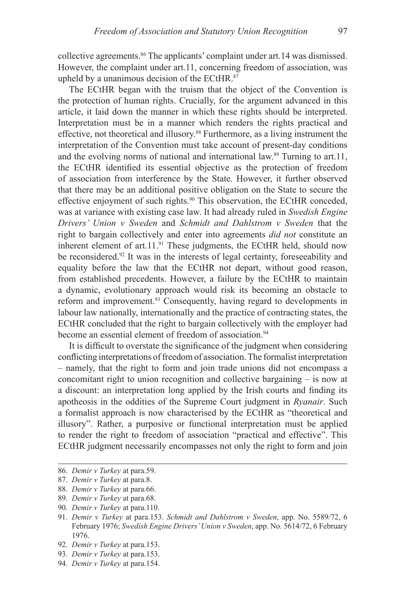collective agreements.<sup>86</sup> The applicants' complaint under art.14 was dismissed. However, the complaint under art.11, concerning freedom of association, was upheld by a unanimous decision of the ECtHR.<sup>87</sup>

The ECtHR began with the truism that the object of the Convention is the protection of human rights. Crucially, for the argument advanced in this article, it laid down the manner in which these rights should be interpreted. Interpretation must be in a manner which renders the rights practical and effective, not theoretical and illusory.88 Furthermore, as a living instrument the interpretation of the Convention must take account of present-day conditions and the evolving norms of national and international law.<sup>89</sup> Turning to art.11, the ECtHR identified its essential objective as the protection of freedom of association from interference by the State. However, it further observed that there may be an additional positive obligation on the State to secure the effective enjoyment of such rights.<sup>90</sup> This observation, the ECtHR conceded, was at variance with existing case law. It had already ruled in *Swedish Engine Drivers' Union v Sweden* and *Schmidt and Dahlstrom v Sweden* that the right to bargain collectively and enter into agreements *did not* constitute an inherent element of art. $11.^{91}$  These judgments, the ECtHR held, should now be reconsidered.<sup>92</sup> It was in the interests of legal certainty, foreseeability and equality before the law that the ECtHR not depart, without good reason, from established precedents. However, a failure by the ECtHR to maintain a dynamic, evolutionary approach would risk its becoming an obstacle to reform and improvement.<sup>93</sup> Consequently, having regard to developments in labour law nationally, internationally and the practice of contracting states, the ECtHR concluded that the right to bargain collectively with the employer had become an essential element of freedom of association.<sup>94</sup>

It is difficult to overstate the significance of the judgment when considering conflicting interpretations of freedom of association. The formalist interpretation – namely, that the right to form and join trade unions did not encompass a concomitant right to union recognition and collective bargaining – is now at a discount: an interpretation long applied by the Irish courts and finding its apotheosis in the oddities of the Supreme Court judgment in *Ryanair*. Such a formalist approach is now characterised by the ECtHR as "theoretical and illusory". Rather, a purposive or functional interpretation must be applied to render the right to freedom of association "practical and effective". This ECtHR judgment necessarily encompasses not only the right to form and join

- 89. *Demir v Turkey* at para.68.
- 90. *Demir v Turkey* at para.110.

92. *Demir v Turkey* at para.153.

94. *Demir v Turkey* at para.154.

<sup>86.</sup> *Demir v Turkey* at para.59.

<sup>87.</sup> *Demir v Turkey* at para.8.

<sup>88.</sup> *Demir v Turkey* at para.66.

<sup>91.</sup> *Demir v Turkey* at para.153. *Schmidt and Dahlstrom v Sweden*, app. No. 5589/72, 6 February 1976; *Swedish Engine Drivers' Union v Sweden*, app. No. 5614/72, 6 February 1976.

<sup>93.</sup> *Demir v Turkey* at para.153.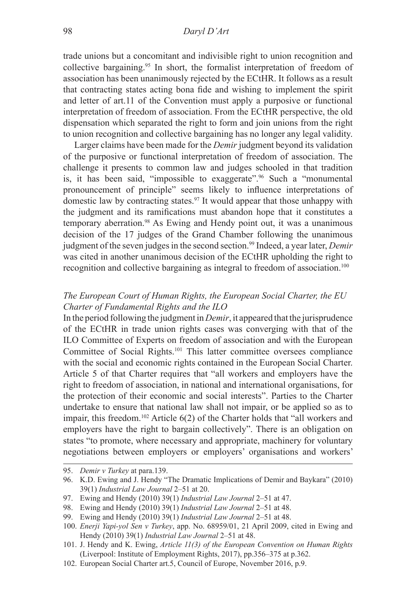### 98 *Daryl D'Art*

trade unions but a concomitant and indivisible right to union recognition and collective bargaining.95 In short, the formalist interpretation of freedom of association has been unanimously rejected by the ECtHR. It follows as a result that contracting states acting bona fide and wishing to implement the spirit and letter of art.11 of the Convention must apply a purposive or functional interpretation of freedom of association. From the ECtHR perspective, the old dispensation which separated the right to form and join unions from the right to union recognition and collective bargaining has no longer any legal validity.

Larger claims have been made for the *Demir* judgment beyond its validation of the purposive or functional interpretation of freedom of association. The challenge it presents to common law and judges schooled in that tradition is, it has been said, "impossible to exaggerate".<sup>96</sup> Such a "monumental pronouncement of principle" seems likely to influence interpretations of domestic law by contracting states.<sup>97</sup> It would appear that those unhappy with the judgment and its ramifications must abandon hope that it constitutes a temporary aberration.98 As Ewing and Hendy point out, it was a unanimous decision of the 17 judges of the Grand Chamber following the unanimous judgment of the seven judges in the second section.<sup>99</sup> Indeed, a year later, *Demir* was cited in another unanimous decision of the ECtHR upholding the right to recognition and collective bargaining as integral to freedom of association.<sup>100</sup>

# *The European Court of Human Rights, the European Social Charter, the EU Charter of Fundamental Rights and the ILO*

In the period following the judgment in *Demir*, it appeared that the jurisprudence of the ECtHR in trade union rights cases was converging with that of the ILO Committee of Experts on freedom of association and with the European Committee of Social Rights.101 This latter committee oversees compliance with the social and economic rights contained in the European Social Charter. Article 5 of that Charter requires that "all workers and employers have the right to freedom of association, in national and international organisations, for the protection of their economic and social interests". Parties to the Charter undertake to ensure that national law shall not impair, or be applied so as to impair, this freedom.102 Article 6(2) of the Charter holds that "all workers and employers have the right to bargain collectively". There is an obligation on states "to promote, where necessary and appropriate, machinery for voluntary negotiations between employers or employers' organisations and workers'

<sup>95.</sup> *Demir v Turkey* at para.139.

<sup>96.</sup> K.D. Ewing and J. Hendy "The Dramatic Implications of Demir and Baykara" (2010) 39(1) *Industrial Law Journal* 2–51 at 20.

<sup>97.</sup> Ewing and Hendy (2010) 39(1) *Industrial Law Journal* 2–51 at 47.

<sup>98.</sup> Ewing and Hendy (2010) 39(1) *Industrial Law Journal* 2–51 at 48.

<sup>99.</sup> Ewing and Hendy (2010) 39(1) *Industrial Law Journal* 2–51 at 48.

<sup>100.</sup> *Enerji Yapi-yol Sen v Turkey*, app. No. 68959/01, 21 April 2009, cited in Ewing and Hendy (2010) 39(1) *Industrial Law Journal* 2–51 at 48.

<sup>101.</sup> J. Hendy and K. Ewing, *Article 11(3) of the European Convention on Human Rights* (Liverpool: Institute of Employment Rights, 2017), pp.356–375 at p.362.

<sup>102.</sup> European Social Charter art.5, Council of Europe, November 2016, p.9.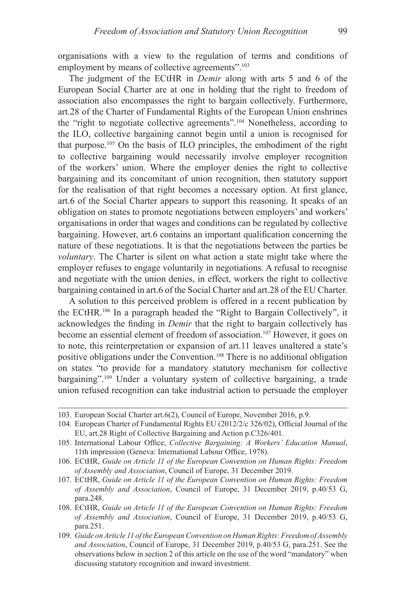organisations with a view to the regulation of terms and conditions of employment by means of collective agreements".<sup>103</sup>

The judgment of the ECtHR in *Demir* along with arts 5 and 6 of the European Social Charter are at one in holding that the right to freedom of association also encompasses the right to bargain collectively. Furthermore, art.28 of the Charter of Fundamental Rights of the European Union enshrines the "right to negotiate collective agreements".104 Nonetheless, according to the ILO, collective bargaining cannot begin until a union is recognised for that purpose.105 On the basis of ILO principles, the embodiment of the right to collective bargaining would necessarily involve employer recognition of the workers' union. Where the employer denies the right to collective bargaining and its concomitant of union recognition, then statutory support for the realisation of that right becomes a necessary option. At first glance, art.6 of the Social Charter appears to support this reasoning. It speaks of an obligation on states to promote negotiations between employers' and workers' organisations in order that wages and conditions can be regulated by collective bargaining. However, art.6 contains an important qualification concerning the nature of these negotiations. It is that the negotiations between the parties be *voluntary*. The Charter is silent on what action a state might take where the employer refuses to engage voluntarily in negotiations. A refusal to recognise and negotiate with the union denies, in effect, workers the right to collective bargaining contained in art.6 of the Social Charter and art.28 of the EU Charter.

A solution to this perceived problem is offered in a recent publication by the ECtHR.106 In a paragraph headed the "Right to Bargain Collectively", it acknowledges the finding in *Demir* that the right to bargain collectively has become an essential element of freedom of association.<sup>107</sup> However, it goes on to note, this reinterpretation or expansion of art.11 leaves unaltered a state's positive obligations under the Convention.108 There is no additional obligation on states "to provide for a mandatory statutory mechanism for collective bargaining".109 Under a voluntary system of collective bargaining, a trade union refused recognition can take industrial action to persuade the employer

- 107. ECtHR, *Guide on Article 11 of the European Convention on Human Rights: Freedom of Assembly and Association*, Council of Europe, 31 December 2019, p.40/53 G, para.248.
- 108. ECtHR, *Guide on Article 11 of the European Convention on Human Rights: Freedom of Assembly and Association*, Council of Europe, 31 December 2019, p.40/53 G, para.251.
- 109. *Guide on Article 11 of the European Convention on Human Rights: Freedom of Assembly and Association*, Council of Europe, 31 December 2019, p.40/53 G, para.251. See the observations below in section 2 of this article on the use of the word "mandatory" when discussing statutory recognition and inward investment.

<sup>103.</sup> European Social Charter art.6(2), Council of Europe, November 2016, p.9.

<sup>104.</sup> European Charter of Fundamental Rights EU (2012/2/c 326/02), Official Journal of the EU, art.28 Right of Collective Bargaining and Action p.C326/401.

<sup>105.</sup> International Labour Office, *Collective Bargaining: A Workers' Education Manual*, 11th impression (Geneva: International Labour Office, 1978).

<sup>106.</sup> ECtHR, *Guide on Article 11 of the European Convention on Human Rights: Freedom of Assembly and Association*, Council of Europe, 31 December 2019.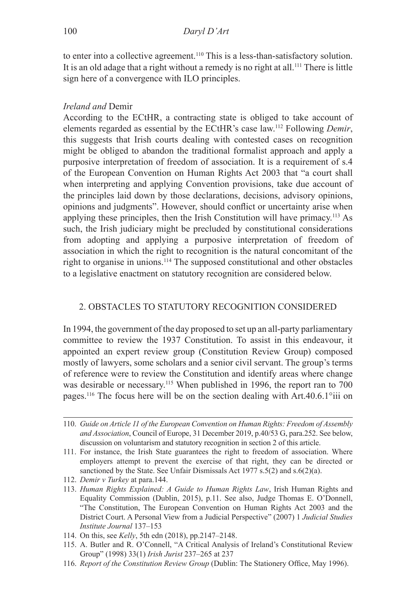to enter into a collective agreement.<sup>110</sup> This is a less-than-satisfactory solution. It is an old adage that a right without a remedy is no right at all.<sup>111</sup> There is little sign here of a convergence with ILO principles.

# *Ireland and* Demir

According to the ECtHR, a contracting state is obliged to take account of elements regarded as essential by the ECtHR's case law.<sup>112</sup> Following *Demir*, this suggests that Irish courts dealing with contested cases on recognition might be obliged to abandon the traditional formalist approach and apply a purposive interpretation of freedom of association. It is a requirement of s.4 of the European Convention on Human Rights Act 2003 that "a court shall when interpreting and applying Convention provisions, take due account of the principles laid down by those declarations, decisions, advisory opinions, opinions and judgments". However, should conflict or uncertainty arise when applying these principles, then the Irish Constitution will have primacy.113 As such, the Irish judiciary might be precluded by constitutional considerations from adopting and applying a purposive interpretation of freedom of association in which the right to recognition is the natural concomitant of the right to organise in unions.114 The supposed constitutional and other obstacles to a legislative enactment on statutory recognition are considered below.

# 2. OBSTACLES TO STATUTORY RECOGNITION CONSIDERED

In 1994, the government of the day proposed to set up an all-party parliamentary committee to review the 1937 Constitution. To assist in this endeavour, it appointed an expert review group (Constitution Review Group) composed mostly of lawyers, some scholars and a senior civil servant. The group's terms of reference were to review the Constitution and identify areas where change was desirable or necessary.<sup>115</sup> When published in 1996, the report ran to 700 pages.116 The focus here will be on the section dealing with Art.40.6.1°iii on

- 112. *Demir v Turkey* at para.144.
- 113. *Human Rights Explained: A Guide to Human Rights Law*, Irish Human Rights and Equality Commission (Dublin, 2015), p.11. See also, Judge Thomas E. O'Donnell, "The Constitution, The European Convention on Human Rights Act 2003 and the District Court. A Personal View from a Judicial Perspective" (2007) 1 *Judicial Studies Institute Journal* 137–153
- 114. On this, see *Kelly*, 5th edn (2018), pp.2147–2148.
- 115. A. Butler and R. O'Connell, "A Critical Analysis of Ireland's Constitutional Review Group" (1998) 33(1) *Irish Jurist* 237–265 at 237
- 116. *Report of the Constitution Review Group* (Dublin: The Stationery Office, May 1996).

<sup>110.</sup> *Guide on Article 11 of the European Convention on Human Rights: Freedom of Assembly and Association*, Council of Europe, 31 December 2019, p.40/53 G, para.252. See below, discussion on voluntarism and statutory recognition in section 2 of this article.

<sup>111.</sup> For instance, the Irish State guarantees the right to freedom of association. Where employers attempt to prevent the exercise of that right, they can be directed or sanctioned by the State. See Unfair Dismissals Act 1977 s.5(2) and s.6(2)(a).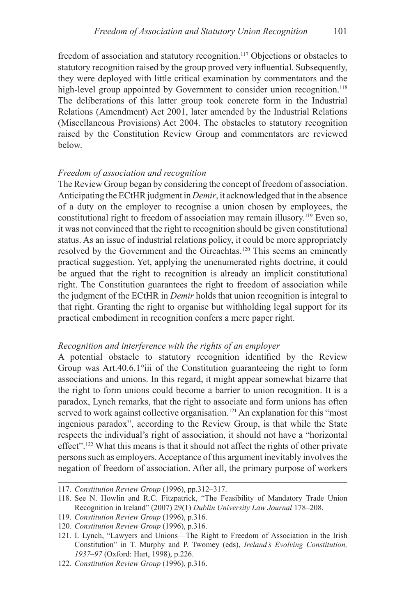freedom of association and statutory recognition.<sup>117</sup> Objections or obstacles to statutory recognition raised by the group proved very influential. Subsequently, they were deployed with little critical examination by commentators and the high-level group appointed by Government to consider union recognition.<sup>118</sup> The deliberations of this latter group took concrete form in the Industrial Relations (Amendment) Act 2001, later amended by the Industrial Relations (Miscellaneous Provisions) Act 2004. The obstacles to statutory recognition raised by the Constitution Review Group and commentators are reviewed below.

### *Freedom of association and recognition*

The Review Group began by considering the concept of freedom of association. Anticipating the ECtHR judgment in *Demir*, it acknowledged that in the absence of a duty on the employer to recognise a union chosen by employees, the constitutional right to freedom of association may remain illusory.119 Even so, it was not convinced that the right to recognition should be given constitutional status. As an issue of industrial relations policy, it could be more appropriately resolved by the Government and the Oireachtas.120 This seems an eminently practical suggestion. Yet, applying the unenumerated rights doctrine, it could be argued that the right to recognition is already an implicit constitutional right. The Constitution guarantees the right to freedom of association while the judgment of the ECtHR in *Demir* holds that union recognition is integral to that right. Granting the right to organise but withholding legal support for its practical embodiment in recognition confers a mere paper right.

### *Recognition and interference with the rights of an employer*

A potential obstacle to statutory recognition identified by the Review Group was Art.40.6.1°iii of the Constitution guaranteeing the right to form associations and unions. In this regard, it might appear somewhat bizarre that the right to form unions could become a barrier to union recognition. It is a paradox, Lynch remarks, that the right to associate and form unions has often served to work against collective organisation.<sup>121</sup> An explanation for this "most ingenious paradox", according to the Review Group, is that while the State respects the individual's right of association, it should not have a "horizontal effect".122 What this means is that it should not affect the rights of other private persons such as employers. Acceptance of this argument inevitably involves the negation of freedom of association. After all, the primary purpose of workers

<sup>117.</sup> *Constitution Review Group* (1996), pp.312–317.

<sup>118.</sup> See N. Howlin and R.C. Fitzpatrick, "The Feasibility of Mandatory Trade Union Recognition in Ireland" (2007) 29(1) *Dublin University Law Journal* 178–208.

<sup>119.</sup> *Constitution Review Group* (1996), p.316.

<sup>120.</sup> *Constitution Review Group* (1996), p.316.

<sup>121.</sup> I. Lynch, "Lawyers and Unions—The Right to Freedom of Association in the Irish Constitution" in T. Murphy and P. Twomey (eds), *Ireland's Evolving Constitution, 1937–97* (Oxford: Hart, 1998), p.226.

<sup>122.</sup> *Constitution Review Group* (1996), p.316.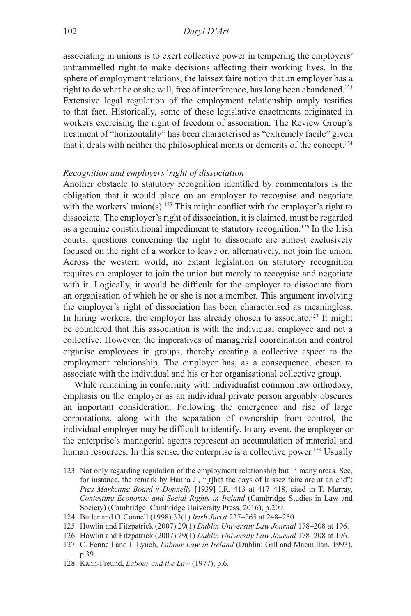associating in unions is to exert collective power in tempering the employers' untrammelled right to make decisions affecting their working lives. In the sphere of employment relations, the laissez faire notion that an employer has a right to do what he or she will, free of interference, has long been abandoned.<sup>123</sup> Extensive legal regulation of the employment relationship amply testifies to that fact. Historically, some of these legislative enactments originated in workers exercising the right of freedom of association. The Review Group's treatment of "horizontality" has been characterised as "extremely facile" given that it deals with neither the philosophical merits or demerits of the concept.<sup>124</sup>

### *Recognition and employers' right of dissociation*

Another obstacle to statutory recognition identified by commentators is the obligation that it would place on an employer to recognise and negotiate with the workers' union(s).<sup>125</sup> This might conflict with the employer's right to dissociate. The employer's right of dissociation, it is claimed, must be regarded as a genuine constitutional impediment to statutory recognition.126 In the Irish courts, questions concerning the right to dissociate are almost exclusively focused on the right of a worker to leave or, alternatively, not join the union. Across the western world, no extant legislation on statutory recognition requires an employer to join the union but merely to recognise and negotiate with it. Logically, it would be difficult for the employer to dissociate from an organisation of which he or she is not a member. This argument involving the employer's right of dissociation has been characterised as meaningless. In hiring workers, the employer has already chosen to associate.<sup>127</sup> It might be countered that this association is with the individual employee and not a collective. However, the imperatives of managerial coordination and control organise employees in groups, thereby creating a collective aspect to the employment relationship. The employer has, as a consequence, chosen to associate with the individual and his or her organisational collective group.

While remaining in conformity with individualist common law orthodoxy, emphasis on the employer as an individual private person arguably obscures an important consideration. Following the emergence and rise of large corporations, along with the separation of ownership from control, the individual employer may be difficult to identify. In any event, the employer or the enterprise's managerial agents represent an accumulation of material and human resources. In this sense, the enterprise is a collective power.<sup>128</sup> Usually

<sup>123.</sup> Not only regarding regulation of the employment relationship but in many areas. See, for instance, the remark by Hanna J., "[t]hat the days of laissez faire are at an end"; *Pigs Marketing Board v Donnelly* [1939] I.R. 413 at 417–418, cited in T. Murray, *Contesting Economic and Social Rights in Ireland* (Cambridge Studies in Law and Society) (Cambridge: Cambridge University Press, 2016), p.209.

<sup>124.</sup> Butler and O'Connell (1998) 33(1) *Irish Jurist* 237–265 at 248–250.

<sup>125.</sup> Howlin and Fitzpatrick (2007) 29(1) *Dublin University Law Journal* 178–208 at 196.

<sup>126.</sup> Howlin and Fitzpatrick (2007) 29(1) *Dublin University Law Journal* 178–208 at 196.

<sup>127.</sup> C. Fennell and I. Lynch, *Labour Law in Ireland* (Dublin: Gill and Macmillan, 1993), p.39.

<sup>128.</sup> Kahn-Freund, *Labour and the Law* (1977), p.6.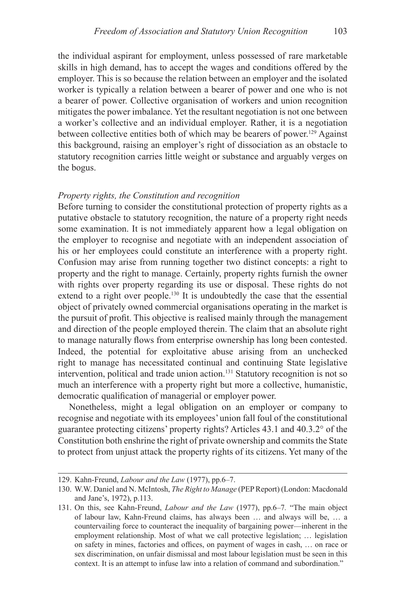the individual aspirant for employment, unless possessed of rare marketable skills in high demand, has to accept the wages and conditions offered by the employer. This is so because the relation between an employer and the isolated worker is typically a relation between a bearer of power and one who is not a bearer of power. Collective organisation of workers and union recognition mitigates the power imbalance. Yet the resultant negotiation is not one between a worker's collective and an individual employer. Rather, it is a negotiation between collective entities both of which may be bearers of power.<sup>129</sup> Against this background, raising an employer's right of dissociation as an obstacle to statutory recognition carries little weight or substance and arguably verges on the bogus.

### *Property rights, the Constitution and recognition*

Before turning to consider the constitutional protection of property rights as a putative obstacle to statutory recognition, the nature of a property right needs some examination. It is not immediately apparent how a legal obligation on the employer to recognise and negotiate with an independent association of his or her employees could constitute an interference with a property right. Confusion may arise from running together two distinct concepts: a right to property and the right to manage. Certainly, property rights furnish the owner with rights over property regarding its use or disposal. These rights do not extend to a right over people.<sup>130</sup> It is undoubtedly the case that the essential object of privately owned commercial organisations operating in the market is the pursuit of profit. This objective is realised mainly through the management and direction of the people employed therein. The claim that an absolute right to manage naturally flows from enterprise ownership has long been contested. Indeed, the potential for exploitative abuse arising from an unchecked right to manage has necessitated continual and continuing State legislative intervention, political and trade union action.131 Statutory recognition is not so much an interference with a property right but more a collective, humanistic, democratic qualification of managerial or employer power.

Nonetheless, might a legal obligation on an employer or company to recognise and negotiate with its employees' union fall foul of the constitutional guarantee protecting citizens' property rights? Articles 43.1 and 40.3.2° of the Constitution both enshrine the right of private ownership and commits the State to protect from unjust attack the property rights of its citizens. Yet many of the

<sup>129.</sup> Kahn-Freund, *Labour and the Law* (1977), pp.6–7.

<sup>130.</sup> W.W. Daniel and N. McIntosh, *The Right to Manage* (PEP Report) (London: Macdonald and Jane's, 1972), p.113.

<sup>131.</sup> On this, see Kahn-Freund, *Labour and the Law* (1977), pp.6–7*.* "The main object of labour law, Kahn-Freund claims, has always been … and always will be, … a countervailing force to counteract the inequality of bargaining power—inherent in the employment relationship. Most of what we call protective legislation; … legislation on safety in mines, factories and offices, on payment of wages in cash, … on race or sex discrimination, on unfair dismissal and most labour legislation must be seen in this context. It is an attempt to infuse law into a relation of command and subordination."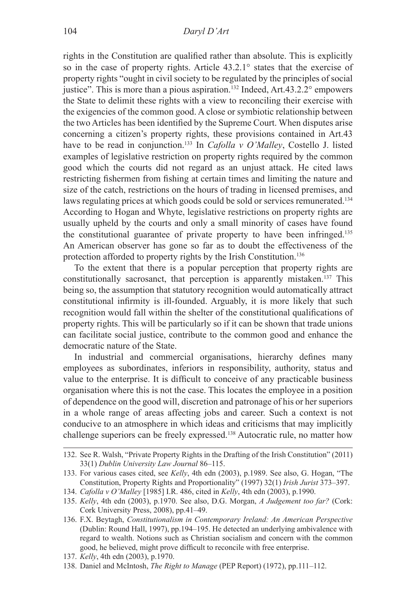rights in the Constitution are qualified rather than absolute. This is explicitly so in the case of property rights. Article 43.2.1° states that the exercise of property rights "ought in civil society to be regulated by the principles of social justice". This is more than a pious aspiration.<sup>132</sup> Indeed, Art.43.2.2° empowers the State to delimit these rights with a view to reconciling their exercise with the exigencies of the common good. A close or symbiotic relationship between the two Articles has been identified by the Supreme Court. When disputes arise concerning a citizen's property rights, these provisions contained in Art.43 have to be read in conjunction.<sup>133</sup> In *Cafolla v O'Malley*, Costello J. listed examples of legislative restriction on property rights required by the common good which the courts did not regard as an unjust attack. He cited laws restricting fishermen from fishing at certain times and limiting the nature and size of the catch, restrictions on the hours of trading in licensed premises, and laws regulating prices at which goods could be sold or services remunerated.<sup>134</sup> According to Hogan and Whyte, legislative restrictions on property rights are usually upheld by the courts and only a small minority of cases have found the constitutional guarantee of private property to have been infringed.135 An American observer has gone so far as to doubt the effectiveness of the protection afforded to property rights by the Irish Constitution.136

To the extent that there is a popular perception that property rights are constitutionally sacrosanct, that perception is apparently mistaken.<sup>137</sup> This being so, the assumption that statutory recognition would automatically attract constitutional infirmity is ill-founded. Arguably, it is more likely that such recognition would fall within the shelter of the constitutional qualifications of property rights. This will be particularly so if it can be shown that trade unions can facilitate social justice, contribute to the common good and enhance the democratic nature of the State.

In industrial and commercial organisations, hierarchy defines many employees as subordinates, inferiors in responsibility, authority, status and value to the enterprise. It is difficult to conceive of any practicable business organisation where this is not the case. This locates the employee in a position of dependence on the good will, discretion and patronage of his or her superiors in a whole range of areas affecting jobs and career. Such a context is not conducive to an atmosphere in which ideas and criticisms that may implicitly challenge superiors can be freely expressed.<sup>138</sup> Autocratic rule, no matter how

137. *Kelly*, 4th edn (2003), p.1970.

<sup>132.</sup> See R. Walsh, "Private Property Rights in the Drafting of the Irish Constitution" (2011) 33(1) *Dublin University Law Journal* 86–115.

<sup>133.</sup> For various cases cited, see *Kelly*, 4th edn (2003), p.1989. See also, G. Hogan, "The Constitution, Property Rights and Proportionality" (1997) 32(1) *Irish Jurist* 373–397.

<sup>134.</sup> *Cafolla v O'Malley* [1985] I.R. 486, cited in *Kelly*, 4th edn (2003), p.1990.

<sup>135.</sup> *Kelly*, 4th edn (2003), p.1970. See also, D.G. Morgan, *A Judgement too far?* (Cork: Cork University Press, 2008), pp.41–49.

<sup>136.</sup> F.X. Beytagh, *Constitutionalism in Contemporary Ireland: An American Perspective*  (Dublin: Round Hall, 1997), pp.194–195. He detected an underlying ambivalence with regard to wealth. Notions such as Christian socialism and concern with the common good, he believed, might prove difficult to reconcile with free enterprise.

<sup>138.</sup> Daniel and McIntosh, *The Right to Manage* (PEP Report) (1972), pp.111–112.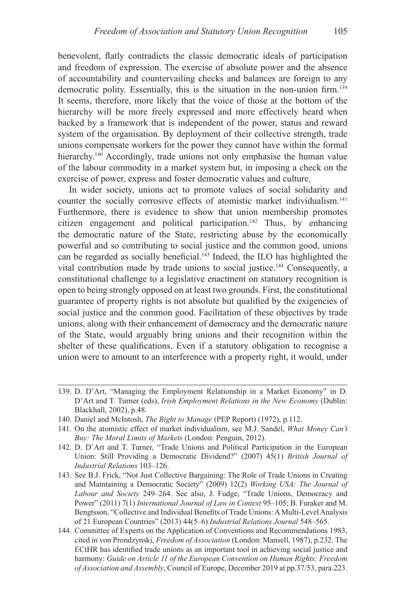benevolent, flatly contradicts the classic democratic ideals of participation and freedom of expression. The exercise of absolute power and the absence of accountability and countervailing checks and balances are foreign to any democratic polity. Essentially, this is the situation in the non-union firm.<sup>139</sup> It seems, therefore, more likely that the voice of those at the bottom of the hierarchy will be more freely expressed and more effectively heard when backed by a framework that is independent of the power, status and reward system of the organisation. By deployment of their collective strength, trade unions compensate workers for the power they cannot have within the formal hierarchy.<sup>140</sup> Accordingly, trade unions not only emphasise the human value of the labour commodity in a market system but, in imposing a check on the exercise of power, express and foster democratic values and culture.

In wider society, unions act to promote values of social solidarity and counter the socially corrosive effects of atomistic market individualism.<sup>141</sup> Furthermore, there is evidence to show that union membership promotes citizen engagement and political participation.<sup>142</sup> Thus, by enhancing the democratic nature of the State, restricting abuse by the economically powerful and so contributing to social justice and the common good, unions can be regarded as socially beneficial.143 Indeed, the ILO has highlighted the vital contribution made by trade unions to social justice.144 Consequently, a constitutional challenge to a legislative enactment on statutory recognition is open to being strongly opposed on at least two grounds. First, the constitutional guarantee of property rights is not absolute but qualified by the exigencies of social justice and the common good. Facilitation of these objectives by trade unions, along with their enhancement of democracy and the democratic nature of the State, would arguably bring unions and their recognition within the shelter of these qualifications. Even if a statutory obligation to recognise a union were to amount to an interference with a property right, it would, under

- 139. D. D'Art, "Managing the Employment Relationship in a Market Economy" in D. D'Art and T. Turner (eds), *Irish Employment Relations in the New Economy* (Dublin: Blackhall, 2002), p.48.
- 140. Daniel and McIntosh, *The Right to Manage* (PEP Report) (1972), p.112.
- 141. On the atomistic effect of market individualism, see M.J. Sandel, *What Money Can't Buy: The Moral Limits of Markets* (London: Penguin, 2012).
- 142. D. D'Art and T. Turner, "Trade Unions and Political Participation in the European Union: Still Providing a Democratic Dividend?" (2007) 45(1) *British Journal of Industrial Relations* 103–126.
- 143. See B.J. Frick, "Not Just Collective Bargaining: The Role of Trade Unions in Creating and Maintaining a Democratic Society" (2009) 12(2) *Working USA: The Journal of Labour and Society* 249–264. See also, J. Fudge, "Trade Unions, Democracy and Power" (2011) 7(1) *International Journal of Law in Context* 95–105; B. Furaker and M. Bengtsson, "Collective and Individual Benefits of Trade Unions: A Multi-Level Analysis of 21 European Countries" (2013) 44(5–6) *Industrial Relations Journal* 548–565.
- 144. Committee of Experts on the Application of Conventions and Recommendations 1983, cited in von Prondzynski, *Freedom of Association* (London: Mansell, 1987), p.232. The ECtHR has identified trade unions as an important tool in achieving social justice and harmony: *Guide on Article 11 of the European Convention on Human Rights: Freedom of Association and Assembly*, Council of Europe, December 2019 at pp.37/53, para.223.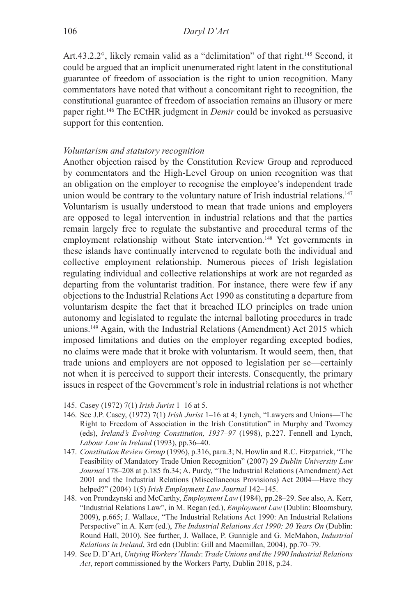Art.43.2.2°, likely remain valid as a "delimitation" of that right.<sup>145</sup> Second, it could be argued that an implicit unenumerated right latent in the constitutional guarantee of freedom of association is the right to union recognition. Many commentators have noted that without a concomitant right to recognition, the constitutional guarantee of freedom of association remains an illusory or mere paper right.146 The ECtHR judgment in *Demir* could be invoked as persuasive support for this contention.

### *Voluntarism and statutory recognition*

Another objection raised by the Constitution Review Group and reproduced by commentators and the High-Level Group on union recognition was that an obligation on the employer to recognise the employee's independent trade union would be contrary to the voluntary nature of Irish industrial relations.<sup>147</sup> Voluntarism is usually understood to mean that trade unions and employers are opposed to legal intervention in industrial relations and that the parties remain largely free to regulate the substantive and procedural terms of the employment relationship without State intervention.<sup>148</sup> Yet governments in these islands have continually intervened to regulate both the individual and collective employment relationship. Numerous pieces of Irish legislation regulating individual and collective relationships at work are not regarded as departing from the voluntarist tradition. For instance, there were few if any objections to the Industrial Relations Act 1990 as constituting a departure from voluntarism despite the fact that it breached ILO principles on trade union autonomy and legislated to regulate the internal balloting procedures in trade unions.149 Again, with the Industrial Relations (Amendment) Act 2015 which imposed limitations and duties on the employer regarding excepted bodies, no claims were made that it broke with voluntarism. It would seem, then, that trade unions and employers are not opposed to legislation per se—certainly not when it is perceived to support their interests. Consequently, the primary issues in respect of the Government's role in industrial relations is not whether

<sup>145.</sup> Casey (1972) 7(1) *Irish Jurist* 1–16 at 5.

<sup>146.</sup> See J.P. Casey, (1972) 7(1) *Irish Jurist* 1–16 at 4; Lynch, "Lawyers and Unions—The Right to Freedom of Association in the Irish Constitution" in Murphy and Twomey (eds), *Ireland's Evolving Constitution, 1937–97* (1998), p.227. Fennell and Lynch, *Labour Law in Ireland* (1993), pp.36–40.

<sup>147.</sup> *Constitution Review Group* (1996), p.316, para.3; N. Howlin and R.C. Fitzpatrick, "The Feasibility of Mandatory Trade Union Recognition" (2007) 29 *Dublin University Law Journal* 178–208 at p.185 fn.34; A. Purdy, "The Industrial Relations (Amendment) Act 2001 and the Industrial Relations (Miscellaneous Provisions) Act 2004—Have they helped?" (2004) 1(5) *Irish Employment Law Journal* 142–145.

<sup>148.</sup> von Prondzynski and McCarthy, *Employment Law* (1984), pp.28–29. See also, A. Kerr, "Industrial Relations Law", in M. Regan (ed.), *Employment Law* (Dublin: Bloomsbury, 2009), p.665; J. Wallace, "The Industrial Relations Act 1990: An Industrial Relations Perspective" in A. Kerr (ed.), *The Industrial Relations Act 1990: 20 Years On* (Dublin: Round Hall, 2010). See further, J. Wallace, P. Gunnigle and G. McMahon, *Industrial Relations in Ireland*, 3rd edn (Dublin: Gill and Macmillan, 2004), pp.70–79.

<sup>149.</sup> See D. D'Art, *Untying Workers' Hands*: *Trade Unions and the 1990 Industrial Relations Act*, report commissioned by the Workers Party, Dublin 2018, p.24.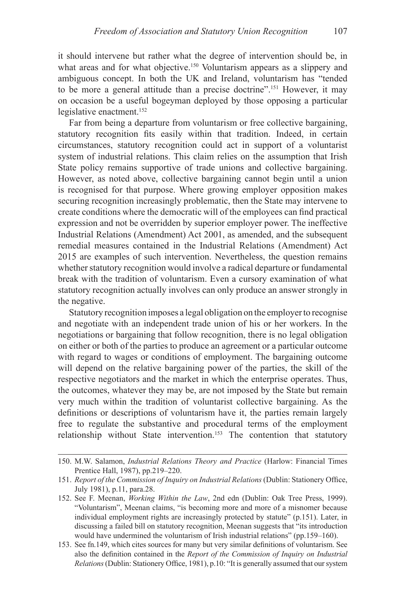it should intervene but rather what the degree of intervention should be, in what areas and for what objective.<sup>150</sup> Voluntarism appears as a slippery and ambiguous concept. In both the UK and Ireland, voluntarism has "tended to be more a general attitude than a precise doctrine".151 However, it may on occasion be a useful bogeyman deployed by those opposing a particular legislative enactment.<sup>152</sup>

Far from being a departure from voluntarism or free collective bargaining, statutory recognition fits easily within that tradition. Indeed, in certain circumstances, statutory recognition could act in support of a voluntarist system of industrial relations. This claim relies on the assumption that Irish State policy remains supportive of trade unions and collective bargaining. However, as noted above, collective bargaining cannot begin until a union is recognised for that purpose. Where growing employer opposition makes securing recognition increasingly problematic, then the State may intervene to create conditions where the democratic will of the employees can find practical expression and not be overridden by superior employer power. The ineffective Industrial Relations (Amendment) Act 2001, as amended, and the subsequent remedial measures contained in the Industrial Relations (Amendment) Act 2015 are examples of such intervention. Nevertheless, the question remains whether statutory recognition would involve a radical departure or fundamental break with the tradition of voluntarism. Even a cursory examination of what statutory recognition actually involves can only produce an answer strongly in the negative.

Statutory recognition imposes a legal obligation on the employer to recognise and negotiate with an independent trade union of his or her workers. In the negotiations or bargaining that follow recognition, there is no legal obligation on either or both of the parties to produce an agreement or a particular outcome with regard to wages or conditions of employment. The bargaining outcome will depend on the relative bargaining power of the parties, the skill of the respective negotiators and the market in which the enterprise operates. Thus, the outcomes, whatever they may be, are not imposed by the State but remain very much within the tradition of voluntarist collective bargaining. As the definitions or descriptions of voluntarism have it, the parties remain largely free to regulate the substantive and procedural terms of the employment relationship without State intervention.<sup>153</sup> The contention that statutory

<sup>150.</sup> M.W. Salamon, *Industrial Relations Theory and Practice* (Harlow: Financial Times Prentice Hall, 1987), pp.219–220.

<sup>151.</sup> *Report of the Commission of Inquiry on Industrial Relations* (Dublin: Stationery Office, July 1981), p.11, para.28.

<sup>152.</sup> See F. Meenan, *Working Within the Law*, 2nd edn (Dublin: Oak Tree Press, 1999). "Voluntarism", Meenan claims, "is becoming more and more of a misnomer because individual employment rights are increasingly protected by statute" (p.151). Later, in discussing a failed bill on statutory recognition, Meenan suggests that "its introduction would have undermined the voluntarism of Irish industrial relations" (pp.159–160).

<sup>153.</sup> See fn.149, which cites sources for many but very similar definitions of voluntarism. See also the definition contained in the *Report of the Commission of Inquiry on Industrial Relations* (Dublin: Stationery Office, 1981), p.10: "It is generally assumed that our system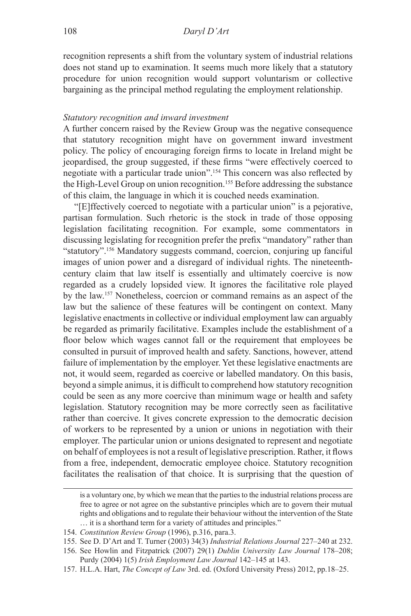recognition represents a shift from the voluntary system of industrial relations does not stand up to examination. It seems much more likely that a statutory procedure for union recognition would support voluntarism or collective bargaining as the principal method regulating the employment relationship.

### *Statutory recognition and inward investment*

A further concern raised by the Review Group was the negative consequence that statutory recognition might have on government inward investment policy. The policy of encouraging foreign firms to locate in Ireland might be jeopardised, the group suggested, if these firms "were effectively coerced to negotiate with a particular trade union".<sup>154</sup> This concern was also reflected by the High-Level Group on union recognition.155 Before addressing the substance of this claim, the language in which it is couched needs examination.

"[E]ffectively coerced to negotiate with a particular union" is a pejorative, partisan formulation. Such rhetoric is the stock in trade of those opposing legislation facilitating recognition. For example, some commentators in discussing legislating for recognition prefer the prefix "mandatory" rather than "statutory".156 Mandatory suggests command, coercion, conjuring up fanciful images of union power and a disregard of individual rights. The nineteenthcentury claim that law itself is essentially and ultimately coercive is now regarded as a crudely lopsided view. It ignores the facilitative role played by the law.157 Nonetheless, coercion or command remains as an aspect of the law but the salience of these features will be contingent on context. Many legislative enactments in collective or individual employment law can arguably be regarded as primarily facilitative. Examples include the establishment of a floor below which wages cannot fall or the requirement that employees be consulted in pursuit of improved health and safety. Sanctions, however, attend failure of implementation by the employer. Yet these legislative enactments are not, it would seem, regarded as coercive or labelled mandatory. On this basis, beyond a simple animus, it is difficult to comprehend how statutory recognition could be seen as any more coercive than minimum wage or health and safety legislation. Statutory recognition may be more correctly seen as facilitative rather than coercive. It gives concrete expression to the democratic decision of workers to be represented by a union or unions in negotiation with their employer. The particular union or unions designated to represent and negotiate on behalf of employees is not a result of legislative prescription. Rather, it flows from a free, independent, democratic employee choice. Statutory recognition facilitates the realisation of that choice. It is surprising that the question of

is a voluntary one, by which we mean that the parties to the industrial relations process are free to agree or not agree on the substantive principles which are to govern their mutual rights and obligations and to regulate their behaviour without the intervention of the State … it is a shorthand term for a variety of attitudes and principles."

<sup>154.</sup> *Constitution Review Group* (1996), p.316, para.3.

<sup>155.</sup> See D. D'Art and T. Turner (2003) 34(3) *Industrial Relations Journal* 227–240 at 232.

<sup>156.</sup> See Howlin and Fitzpatrick (2007) 29(1) *Dublin University Law Journal* 178–208; Purdy (2004) 1(5) *Irish Employment Law Journal* 142–145 at 143.

<sup>157.</sup> H.L.A. Hart, *The Concept of Law* 3rd. ed. (Oxford University Press) 2012, pp.18–25.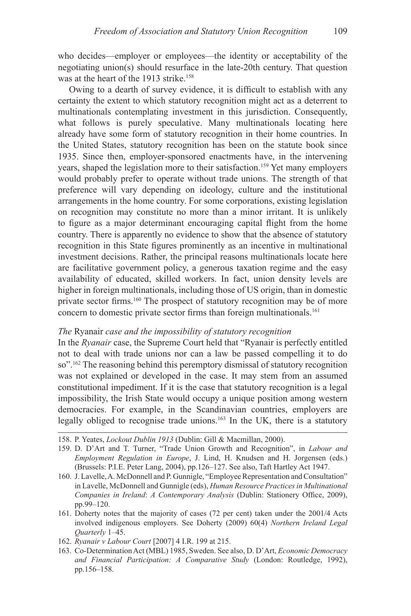who decides—employer or employees—the identity or acceptability of the negotiating union(s) should resurface in the late-20th century. That question was at the heart of the 1913 strike.<sup>158</sup>

Owing to a dearth of survey evidence, it is difficult to establish with any certainty the extent to which statutory recognition might act as a deterrent to multinationals contemplating investment in this jurisdiction. Consequently, what follows is purely speculative. Many multinationals locating here already have some form of statutory recognition in their home countries. In the United States, statutory recognition has been on the statute book since 1935. Since then, employer-sponsored enactments have, in the intervening years, shaped the legislation more to their satisfaction.<sup>159</sup> Yet many employers would probably prefer to operate without trade unions. The strength of that preference will vary depending on ideology, culture and the institutional arrangements in the home country. For some corporations, existing legislation on recognition may constitute no more than a minor irritant. It is unlikely to figure as a major determinant encouraging capital flight from the home country. There is apparently no evidence to show that the absence of statutory recognition in this State figures prominently as an incentive in multinational investment decisions. Rather, the principal reasons multinationals locate here are facilitative government policy, a generous taxation regime and the easy availability of educated, skilled workers. In fact, union density levels are higher in foreign multinationals, including those of US origin, than in domestic private sector firms.160 The prospect of statutory recognition may be of more concern to domestic private sector firms than foreign multinationals.<sup>161</sup>

# *The* Ryanair *case and the impossibility of statutory recognition*

In the *Ryanair* case, the Supreme Court held that "Ryanair is perfectly entitled not to deal with trade unions nor can a law be passed compelling it to do so".<sup>162</sup> The reasoning behind this peremptory dismissal of statutory recognition was not explained or developed in the case. It may stem from an assumed constitutional impediment. If it is the case that statutory recognition is a legal impossibility, the Irish State would occupy a unique position among western democracies. For example, in the Scandinavian countries, employers are legally obliged to recognise trade unions.163 In the UK, there is a statutory

- 159. D. D'Art and T. Turner, "Trade Union Growth and Recognition", in *Labour and Employment Regulation in Europe*, J. Lind, H. Knudsen and H. Jorgensen (eds.) (Brussels: P.I.E. Peter Lang, 2004), pp.126–127. See also, Taft Hartley Act 1947.
- 160. J. Lavelle, A. McDonnell and P. Gunnigle, "Employee Representation and Consultation" in Lavelle, McDonnell and Gunnigle (eds), *Human Resource Practices in Multinational Companies in Ireland*: *A Contemporary Analysis* (Dublin: Stationery Office, 2009), pp.99–120.
- 161. Doherty notes that the majority of cases (72 per cent) taken under the 2001/4 Acts involved indigenous employers. See Doherty (2009) 60(4) *Northern Ireland Legal Quarterly* 1–45.
- 162. *Ryanair v Labour Court* [2007] 4 I.R. 199 at 215.
- 163. Co-Determination Act (MBL) 1985, Sweden. See also, D. D'Art, *Economic Democracy and Financial Participation: A Comparative Study* (London: Routledge, 1992), pp.156–158.

<sup>158.</sup> P. Yeates, *Lockout Dublin 1913* (Dublin: Gill & Macmillan, 2000).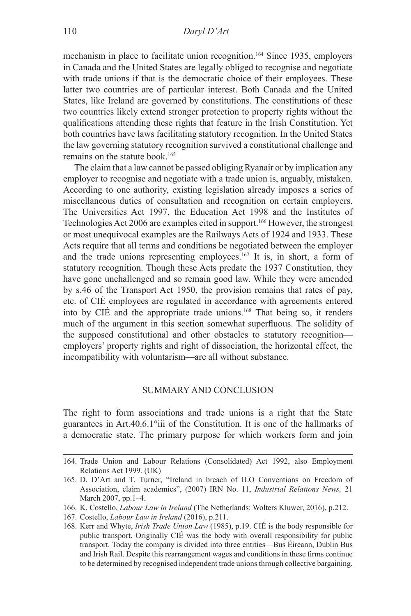mechanism in place to facilitate union recognition.<sup>164</sup> Since 1935, employers in Canada and the United States are legally obliged to recognise and negotiate with trade unions if that is the democratic choice of their employees. These latter two countries are of particular interest. Both Canada and the United States, like Ireland are governed by constitutions. The constitutions of these two countries likely extend stronger protection to property rights without the qualifications attending these rights that feature in the Irish Constitution. Yet both countries have laws facilitating statutory recognition. In the United States the law governing statutory recognition survived a constitutional challenge and remains on the statute book.<sup>165</sup>

The claim that a law cannot be passed obliging Ryanair or by implication any employer to recognise and negotiate with a trade union is, arguably, mistaken. According to one authority, existing legislation already imposes a series of miscellaneous duties of consultation and recognition on certain employers. The Universities Act 1997, the Education Act 1998 and the Institutes of Technologies Act 2006 are examples cited in support.<sup>166</sup> However, the strongest or most unequivocal examples are the Railways Acts of 1924 and 1933. These Acts require that all terms and conditions be negotiated between the employer and the trade unions representing employees.<sup>167</sup> It is, in short, a form of statutory recognition. Though these Acts predate the 1937 Constitution, they have gone unchallenged and so remain good law. While they were amended by s.46 of the Transport Act 1950, the provision remains that rates of pay, etc. of CIÉ employees are regulated in accordance with agreements entered into by CIÉ and the appropriate trade unions.<sup>168</sup> That being so, it renders much of the argument in this section somewhat superfluous. The solidity of the supposed constitutional and other obstacles to statutory recognition employers' property rights and right of dissociation, the horizontal effect, the incompatibility with voluntarism—are all without substance.

# SUMMARY AND CONCLUSION

The right to form associations and trade unions is a right that the State guarantees in Art.40.6.1°iii of the Constitution. It is one of the hallmarks of a democratic state. The primary purpose for which workers form and join

<sup>164.</sup> Trade Union and Labour Relations (Consolidated) Act 1992, also Employment Relations Act 1999. (UK)

<sup>165.</sup> D. D'Art and T. Turner, "Ireland in breach of ILO Conventions on Freedom of Association, claim academics", (2007) IRN No. 11, *Industrial Relations News,* 21 March 2007, pp.1–4.

<sup>166.</sup> K. Costello, *Labour Law in Ireland* (The Netherlands: Wolters Kluwer, 2016), p.212.

<sup>167.</sup> Costello, *Labour Law in Ireland* (2016), p.211.

<sup>168.</sup> Kerr and Whyte, *Irish Trade Union Law* (1985), p.19. CIÉ is the body responsible for public transport. Originally CIÉ was the body with overall responsibility for public transport. Today the company is divided into three entities—Bus Éireann, Dublin Bus and Irish Rail. Despite this rearrangement wages and conditions in these firms continue to be determined by recognised independent trade unions through collective bargaining.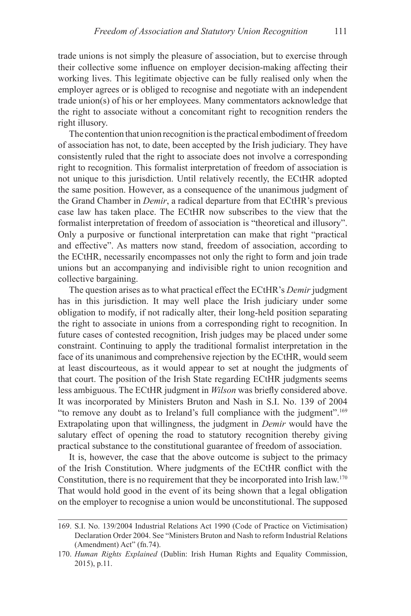trade unions is not simply the pleasure of association, but to exercise through their collective some influence on employer decision-making affecting their working lives. This legitimate objective can be fully realised only when the employer agrees or is obliged to recognise and negotiate with an independent trade union(s) of his or her employees. Many commentators acknowledge that the right to associate without a concomitant right to recognition renders the right illusory.

The contention that union recognition is the practical embodiment of freedom of association has not, to date, been accepted by the Irish judiciary. They have consistently ruled that the right to associate does not involve a corresponding right to recognition. This formalist interpretation of freedom of association is not unique to this jurisdiction. Until relatively recently, the ECtHR adopted the same position. However, as a consequence of the unanimous judgment of the Grand Chamber in *Demir*, a radical departure from that ECtHR's previous case law has taken place. The ECtHR now subscribes to the view that the formalist interpretation of freedom of association is "theoretical and illusory". Only a purposive or functional interpretation can make that right "practical and effective". As matters now stand, freedom of association, according to the ECtHR, necessarily encompasses not only the right to form and join trade unions but an accompanying and indivisible right to union recognition and collective bargaining.

The question arises as to what practical effect the ECtHR's *Demir* judgment has in this jurisdiction. It may well place the Irish judiciary under some obligation to modify, if not radically alter, their long-held position separating the right to associate in unions from a corresponding right to recognition. In future cases of contested recognition, Irish judges may be placed under some constraint. Continuing to apply the traditional formalist interpretation in the face of its unanimous and comprehensive rejection by the ECtHR, would seem at least discourteous, as it would appear to set at nought the judgments of that court. The position of the Irish State regarding ECtHR judgments seems less ambiguous. The ECtHR judgment in *Wilson* was briefly considered above. It was incorporated by Ministers Bruton and Nash in S.I. No. 139 of 2004 "to remove any doubt as to Ireland's full compliance with the judgment".<sup>169</sup> Extrapolating upon that willingness, the judgment in *Demir* would have the salutary effect of opening the road to statutory recognition thereby giving practical substance to the constitutional guarantee of freedom of association.

It is, however, the case that the above outcome is subject to the primacy of the Irish Constitution. Where judgments of the ECtHR conflict with the Constitution, there is no requirement that they be incorporated into Irish law.<sup>170</sup> That would hold good in the event of its being shown that a legal obligation on the employer to recognise a union would be unconstitutional. The supposed

<sup>169.</sup> S.I. No. 139/2004 Industrial Relations Act 1990 (Code of Practice on Victimisation) Declaration Order 2004. See "Ministers Bruton and Nash to reform Industrial Relations (Amendment) Act" (fn.74).

<sup>170.</sup> *Human Rights Explained* (Dublin: Irish Human Rights and Equality Commission, 2015), p.11.